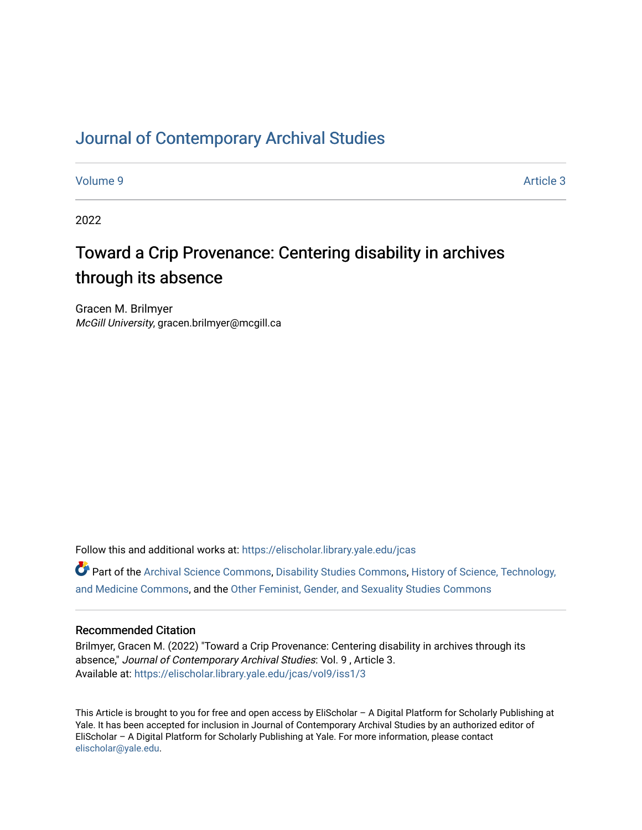## [Journal of Contemporary Archival Studies](https://elischolar.library.yale.edu/jcas)

[Volume 9](https://elischolar.library.yale.edu/jcas/vol9) Article 3

2022

# Toward a Crip Provenance: Centering disability in archives through its absence

Gracen M. Brilmyer McGill University, gracen.brilmyer@mcgill.ca

Follow this and additional works at: [https://elischolar.library.yale.edu/jcas](https://elischolar.library.yale.edu/jcas?utm_source=elischolar.library.yale.edu%2Fjcas%2Fvol9%2Fiss1%2F3&utm_medium=PDF&utm_campaign=PDFCoverPages) 

Part of the [Archival Science Commons,](http://network.bepress.com/hgg/discipline/1021?utm_source=elischolar.library.yale.edu%2Fjcas%2Fvol9%2Fiss1%2F3&utm_medium=PDF&utm_campaign=PDFCoverPages) [Disability Studies Commons](http://network.bepress.com/hgg/discipline/1417?utm_source=elischolar.library.yale.edu%2Fjcas%2Fvol9%2Fiss1%2F3&utm_medium=PDF&utm_campaign=PDFCoverPages), [History of Science, Technology,](http://network.bepress.com/hgg/discipline/500?utm_source=elischolar.library.yale.edu%2Fjcas%2Fvol9%2Fiss1%2F3&utm_medium=PDF&utm_campaign=PDFCoverPages) [and Medicine Commons](http://network.bepress.com/hgg/discipline/500?utm_source=elischolar.library.yale.edu%2Fjcas%2Fvol9%2Fiss1%2F3&utm_medium=PDF&utm_campaign=PDFCoverPages), and the [Other Feminist, Gender, and Sexuality Studies Commons](http://network.bepress.com/hgg/discipline/562?utm_source=elischolar.library.yale.edu%2Fjcas%2Fvol9%2Fiss1%2F3&utm_medium=PDF&utm_campaign=PDFCoverPages) 

#### Recommended Citation

Brilmyer, Gracen M. (2022) "Toward a Crip Provenance: Centering disability in archives through its absence," Journal of Contemporary Archival Studies: Vol. 9 , Article 3. Available at: [https://elischolar.library.yale.edu/jcas/vol9/iss1/3](https://elischolar.library.yale.edu/jcas/vol9/iss1/3?utm_source=elischolar.library.yale.edu%2Fjcas%2Fvol9%2Fiss1%2F3&utm_medium=PDF&utm_campaign=PDFCoverPages)

This Article is brought to you for free and open access by EliScholar – A Digital Platform for Scholarly Publishing at Yale. It has been accepted for inclusion in Journal of Contemporary Archival Studies by an authorized editor of EliScholar – A Digital Platform for Scholarly Publishing at Yale. For more information, please contact [elischolar@yale.edu.](mailto:elischolar@yale.edu)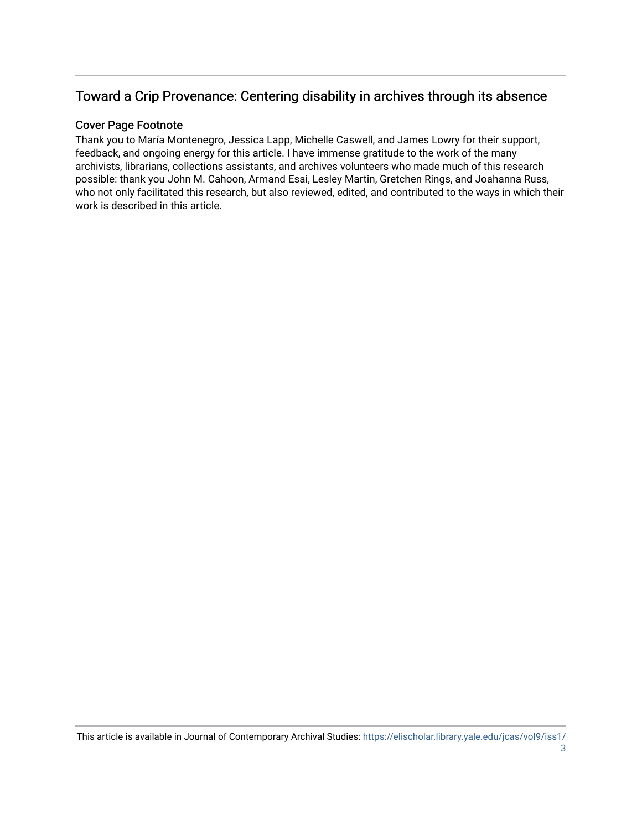### Toward a Crip Provenance: Centering disability in archives through its absence

#### Cover Page Footnote

Thank you to María Montenegro, Jessica Lapp, Michelle Caswell, and James Lowry for their support, feedback, and ongoing energy for this article. I have immense gratitude to the work of the many archivists, librarians, collections assistants, and archives volunteers who made much of this research possible: thank you John M. Cahoon, Armand Esai, Lesley Martin, Gretchen Rings, and Joahanna Russ, who not only facilitated this research, but also reviewed, edited, and contributed to the ways in which their work is described in this article.

This article is available in Journal of Contemporary Archival Studies: [https://elischolar.library.yale.edu/jcas/vol9/iss1/](https://elischolar.library.yale.edu/jcas/vol9/iss1/3) [3](https://elischolar.library.yale.edu/jcas/vol9/iss1/3)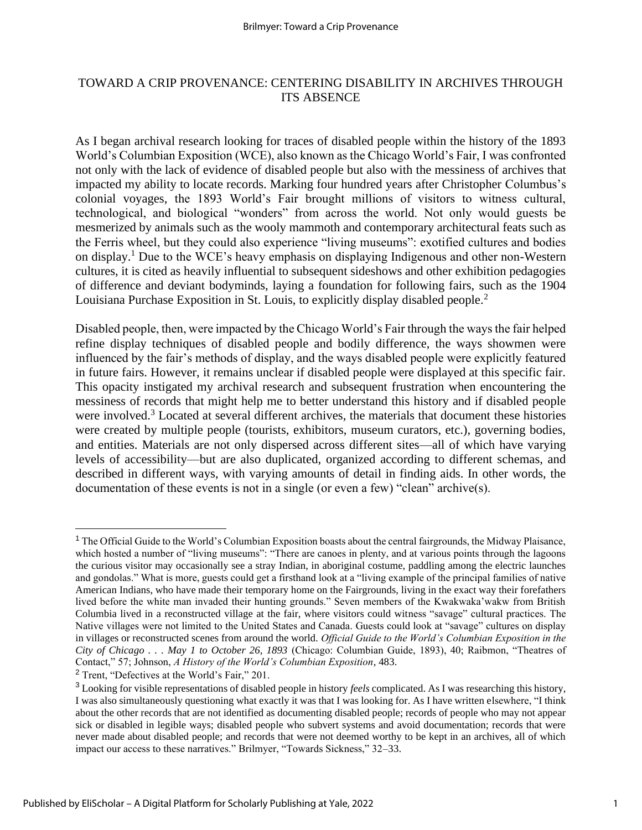#### TOWARD A CRIP PROVENANCE: CENTERING DISABILITY IN ARCHIVES THROUGH ITS ABSENCE

As I began archival research looking for traces of disabled people within the history of the 1893 World's Columbian Exposition (WCE), also known as the Chicago World's Fair, I was confronted not only with the lack of evidence of disabled people but also with the messiness of archives that impacted my ability to locate records. Marking four hundred years after Christopher Columbus's colonial voyages, the 1893 World's Fair brought millions of visitors to witness cultural, technological, and biological "wonders" from across the world. Not only would guests be mesmerized by animals such as the wooly mammoth and contemporary architectural feats such as the Ferris wheel, but they could also experience "living museums": exotified cultures and bodies on display.<sup>1</sup> Due to the WCE's heavy emphasis on displaying Indigenous and other non-Western cultures, it is cited as heavily influential to subsequent sideshows and other exhibition pedagogies of difference and deviant bodyminds, laying a foundation for following fairs, such as the 1904 Louisiana Purchase Exposition in St. Louis, to explicitly display disabled people.<sup>2</sup>

Disabled people, then, were impacted by the Chicago World's Fair through the ways the fair helped refine display techniques of disabled people and bodily difference, the ways showmen were influenced by the fair's methods of display, and the ways disabled people were explicitly featured in future fairs. However, it remains unclear if disabled people were displayed at this specific fair. This opacity instigated my archival research and subsequent frustration when encountering the messiness of records that might help me to better understand this history and if disabled people were involved.<sup>3</sup> Located at several different archives, the materials that document these histories were created by multiple people (tourists, exhibitors, museum curators, etc.), governing bodies, and entities. Materials are not only dispersed across different sites—all of which have varying levels of accessibility—but are also duplicated, organized according to different schemas, and described in different ways, with varying amounts of detail in finding aids. In other words, the documentation of these events is not in a single (or even a few) "clean" archive(s).

<sup>&</sup>lt;sup>1</sup> The Official Guide to the World's Columbian Exposition boasts about the central fairgrounds, the Midway Plaisance, which hosted a number of "living museums": "There are canoes in plenty, and at various points through the lagoons the curious visitor may occasionally see a stray Indian, in aboriginal costume, paddling among the electric launches and gondolas." What is more, guests could get a firsthand look at a "living example of the principal families of native American Indians, who have made their temporary home on the Fairgrounds, living in the exact way their forefathers lived before the white man invaded their hunting grounds." Seven members of the Kwakwaka'wakw from British Columbia lived in a reconstructed village at the fair, where visitors could witness "savage" cultural practices. The Native villages were not limited to the United States and Canada. Guests could look at "savage" cultures on display in villages or reconstructed scenes from around the world. *Official Guide to the World's Columbian Exposition in the City of Chicago . . . May 1 to October 26, 1893* (Chicago: Columbian Guide, 1893), 40; Raibmon, "Theatres of Contact," 57; Johnson, *A History of the World's Columbian Exposition*, 483.

<sup>2</sup> Trent, "Defectives at the World's Fair," 201.

<sup>3</sup> Looking for visible representations of disabled people in history *feels* complicated. As I was researching this history, I was also simultaneously questioning what exactly it was that I was looking for. As I have written elsewhere, "I think about the other records that are not identified as documenting disabled people; records of people who may not appear sick or disabled in legible ways; disabled people who subvert systems and avoid documentation; records that were never made about disabled people; and records that were not deemed worthy to be kept in an archives, all of which impact our access to these narratives." Brilmyer, "Towards Sickness," 32–33.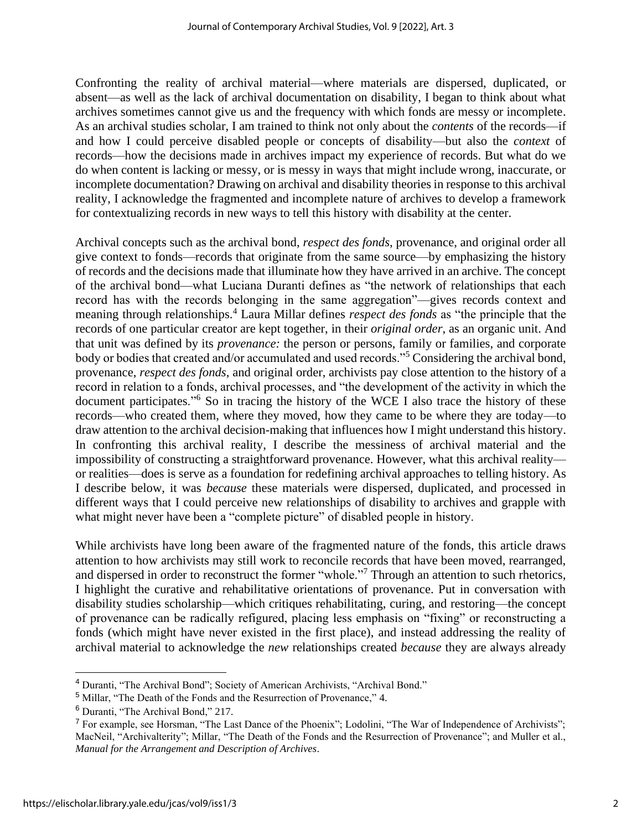Confronting the reality of archival material—where materials are dispersed, duplicated, or absent—as well as the lack of archival documentation on disability, I began to think about what archives sometimes cannot give us and the frequency with which fonds are messy or incomplete. As an archival studies scholar, I am trained to think not only about the *contents* of the records—if and how I could perceive disabled people or concepts of disability—but also the *context* of records—how the decisions made in archives impact my experience of records. But what do we do when content is lacking or messy, or is messy in ways that might include wrong, inaccurate, or incomplete documentation? Drawing on archival and disability theories in response to this archival reality, I acknowledge the fragmented and incomplete nature of archives to develop a framework for contextualizing records in new ways to tell this history with disability at the center.

Archival concepts such as the archival bond, *respect des fonds,* provenance, and original order all give context to fonds—records that originate from the same source—by emphasizing the history of records and the decisions made that illuminate how they have arrived in an archive. The concept of the archival bond—what Luciana Duranti defines as "the network of relationships that each record has with the records belonging in the same aggregation"—gives records context and meaning through relationships.<sup>4</sup> Laura Millar defines *respect des fonds* as "the principle that the records of one particular creator are kept together, in their *original order*, as an organic unit. And that unit was defined by its *provenance:* the person or persons, family or families, and corporate body or bodies that created and/or accumulated and used records."<sup>5</sup> Considering the archival bond, provenance, *respect des fonds,* and original order, archivists pay close attention to the history of a record in relation to a fonds, archival processes, and "the development of the activity in which the document participates."<sup>6</sup> So in tracing the history of the WCE I also trace the history of these records—who created them, where they moved, how they came to be where they are today—to draw attention to the archival decision-making that influences how I might understand this history. In confronting this archival reality, I describe the messiness of archival material and the impossibility of constructing a straightforward provenance. However, what this archival reality or realities—does is serve as a foundation for redefining archival approaches to telling history. As I describe below, it was *because* these materials were dispersed, duplicated, and processed in different ways that I could perceive new relationships of disability to archives and grapple with what might never have been a "complete picture" of disabled people in history.

While archivists have long been aware of the fragmented nature of the fonds, this article draws attention to how archivists may still work to reconcile records that have been moved, rearranged, and dispersed in order to reconstruct the former "whole."<sup>7</sup> Through an attention to such rhetorics, I highlight the curative and rehabilitative orientations of provenance. Put in conversation with disability studies scholarship—which critiques rehabilitating, curing, and restoring—the concept of provenance can be radically refigured, placing less emphasis on "fixing" or reconstructing a fonds (which might have never existed in the first place), and instead addressing the reality of archival material to acknowledge the *new* relationships created *because* they are always already

<sup>4</sup> Duranti, "The Archival Bond"; Society of American Archivists, "Archival Bond."

<sup>5</sup> Millar, "The Death of the Fonds and the Resurrection of Provenance," 4.

<sup>6</sup> Duranti, "The Archival Bond," 217.

<sup>7</sup> For example, see Horsman, "The Last Dance of the Phoenix"; Lodolini, "The War of Independence of Archivists"; MacNeil, "Archivalterity"; Millar, "The Death of the Fonds and the Resurrection of Provenance"; and Muller et al., *Manual for the Arrangement and Description of Archives*.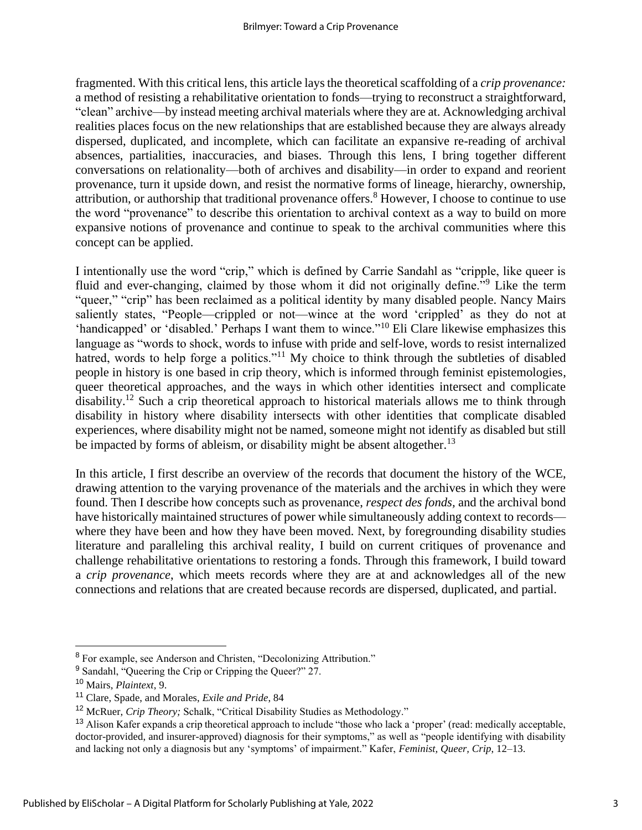fragmented. With this critical lens, this article lays the theoretical scaffolding of a *crip provenance:* a method of resisting a rehabilitative orientation to fonds—trying to reconstruct a straightforward, "clean" archive—by instead meeting archival materials where they are at. Acknowledging archival realities places focus on the new relationships that are established because they are always already dispersed, duplicated, and incomplete, which can facilitate an expansive re-reading of archival absences, partialities, inaccuracies, and biases. Through this lens, I bring together different conversations on relationality—both of archives and disability—in order to expand and reorient provenance, turn it upside down, and resist the normative forms of lineage, hierarchy, ownership, attribution, or authorship that traditional provenance offers.<sup>8</sup> However, I choose to continue to use the word "provenance" to describe this orientation to archival context as a way to build on more expansive notions of provenance and continue to speak to the archival communities where this concept can be applied.

I intentionally use the word "crip," which is defined by Carrie Sandahl as "cripple, like queer is fluid and ever-changing, claimed by those whom it did not originally define."<sup>9</sup> Like the term "queer," "crip" has been reclaimed as a political identity by many disabled people. Nancy Mairs saliently states, "People—crippled or not—wince at the word 'crippled' as they do not at 'handicapped' or 'disabled.' Perhaps I want them to wince."<sup>10</sup> Eli Clare likewise emphasizes this language as "words to shock, words to infuse with pride and self-love, words to resist internalized hatred, words to help forge a politics."<sup>11</sup> My choice to think through the subtleties of disabled people in history is one based in crip theory, which is informed through feminist epistemologies, queer theoretical approaches, and the ways in which other identities intersect and complicate disability.<sup>12</sup> Such a crip theoretical approach to historical materials allows me to think through disability in history where disability intersects with other identities that complicate disabled experiences, where disability might not be named, someone might not identify as disabled but still be impacted by forms of ableism, or disability might be absent altogether.<sup>13</sup>

In this article, I first describe an overview of the records that document the history of the WCE, drawing attention to the varying provenance of the materials and the archives in which they were found. Then I describe how concepts such as provenance, *respect des fonds,* and the archival bond have historically maintained structures of power while simultaneously adding context to records where they have been and how they have been moved. Next, by foregrounding disability studies literature and paralleling this archival reality, I build on current critiques of provenance and challenge rehabilitative orientations to restoring a fonds. Through this framework, I build toward a *crip provenance*, which meets records where they are at and acknowledges all of the new connections and relations that are created because records are dispersed, duplicated, and partial.

<sup>8</sup> For example, see Anderson and Christen, "Decolonizing Attribution."

<sup>9</sup> Sandahl, "Queering the Crip or Cripping the Queer?" 27.

<sup>10</sup> Mairs, *Plaintext*, 9.

<sup>11</sup> Clare, Spade, and Morales, *Exile and Pride*, 84

<sup>12</sup> McRuer, *Crip Theory;* Schalk, "Critical Disability Studies as Methodology."

<sup>&</sup>lt;sup>13</sup> Alison Kafer expands a crip theoretical approach to include "those who lack a 'proper' (read: medically acceptable, doctor-provided, and insurer-approved) diagnosis for their symptoms," as well as "people identifying with disability and lacking not only a diagnosis but any 'symptoms' of impairment." Kafer, *Feminist, Queer, Crip*, 12–13.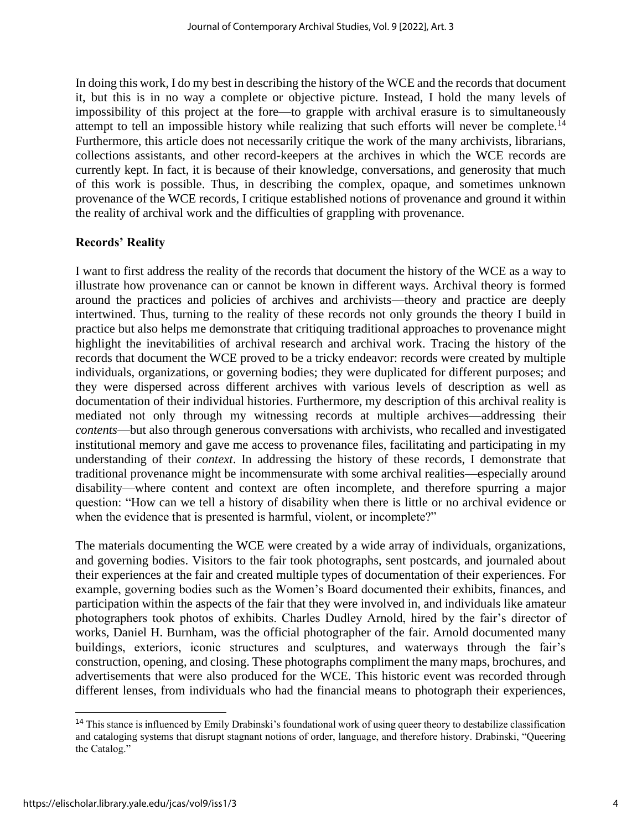In doing this work, I do my best in describing the history of the WCE and the records that document it, but this is in no way a complete or objective picture. Instead, I hold the many levels of impossibility of this project at the fore—to grapple with archival erasure is to simultaneously attempt to tell an impossible history while realizing that such efforts will never be complete.<sup>14</sup> Furthermore, this article does not necessarily critique the work of the many archivists, librarians, collections assistants, and other record-keepers at the archives in which the WCE records are currently kept. In fact, it is because of their knowledge, conversations, and generosity that much of this work is possible. Thus, in describing the complex, opaque, and sometimes unknown provenance of the WCE records, I critique established notions of provenance and ground it within the reality of archival work and the difficulties of grappling with provenance.

#### **Records' Reality**

I want to first address the reality of the records that document the history of the WCE as a way to illustrate how provenance can or cannot be known in different ways. Archival theory is formed around the practices and policies of archives and archivists—theory and practice are deeply intertwined. Thus, turning to the reality of these records not only grounds the theory I build in practice but also helps me demonstrate that critiquing traditional approaches to provenance might highlight the inevitabilities of archival research and archival work. Tracing the history of the records that document the WCE proved to be a tricky endeavor: records were created by multiple individuals, organizations, or governing bodies; they were duplicated for different purposes; and they were dispersed across different archives with various levels of description as well as documentation of their individual histories. Furthermore, my description of this archival reality is mediated not only through my witnessing records at multiple archives—addressing their *contents*—but also through generous conversations with archivists, who recalled and investigated institutional memory and gave me access to provenance files, facilitating and participating in my understanding of their *context*. In addressing the history of these records, I demonstrate that traditional provenance might be incommensurate with some archival realities—especially around disability—where content and context are often incomplete, and therefore spurring a major question: "How can we tell a history of disability when there is little or no archival evidence or when the evidence that is presented is harmful, violent, or incomplete?"

The materials documenting the WCE were created by a wide array of individuals, organizations, and governing bodies. Visitors to the fair took photographs, sent postcards, and journaled about their experiences at the fair and created multiple types of documentation of their experiences. For example, governing bodies such as the Women's Board documented their exhibits, finances, and participation within the aspects of the fair that they were involved in, and individuals like amateur photographers took photos of exhibits. Charles Dudley Arnold, hired by the fair's director of works, Daniel H. Burnham, was the official photographer of the fair. Arnold documented many buildings, exteriors, iconic structures and sculptures, and waterways through the fair's construction, opening, and closing. These photographs compliment the many maps, brochures, and advertisements that were also produced for the WCE. This historic event was recorded through different lenses, from individuals who had the financial means to photograph their experiences,

<sup>&</sup>lt;sup>14</sup> This stance is influenced by Emily Drabinski's foundational work of using queer theory to destabilize classification and cataloging systems that disrupt stagnant notions of order, language, and therefore history. Drabinski, "Queering the Catalog."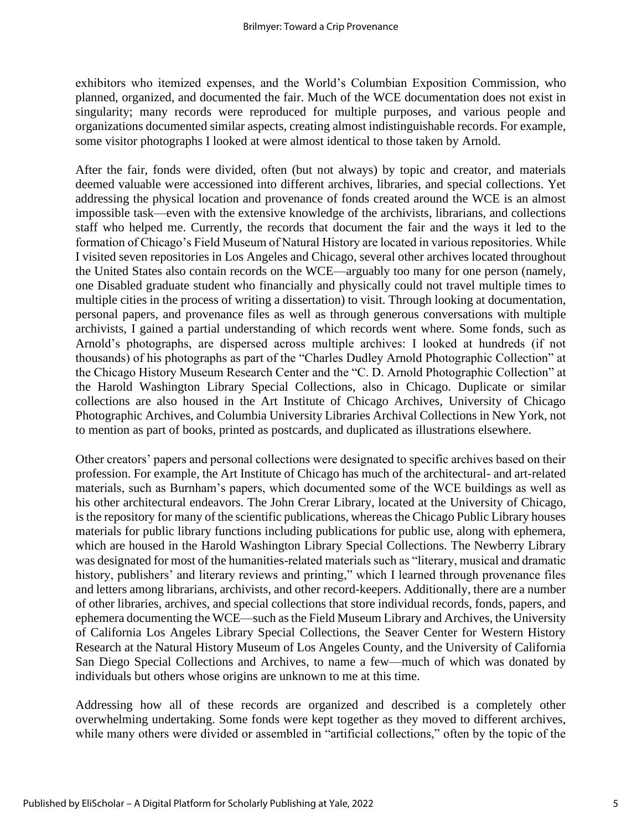exhibitors who itemized expenses, and the World's Columbian Exposition Commission, who planned, organized, and documented the fair. Much of the WCE documentation does not exist in singularity; many records were reproduced for multiple purposes, and various people and organizations documented similar aspects, creating almost indistinguishable records. For example, some visitor photographs I looked at were almost identical to those taken by Arnold.

After the fair, fonds were divided, often (but not always) by topic and creator, and materials deemed valuable were accessioned into different archives, libraries, and special collections. Yet addressing the physical location and provenance of fonds created around the WCE is an almost impossible task—even with the extensive knowledge of the archivists, librarians, and collections staff who helped me. Currently, the records that document the fair and the ways it led to the formation of Chicago's Field Museum of Natural History are located in various repositories. While I visited seven repositories in Los Angeles and Chicago, several other archives located throughout the United States also contain records on the WCE—arguably too many for one person (namely, one Disabled graduate student who financially and physically could not travel multiple times to multiple cities in the process of writing a dissertation) to visit. Through looking at documentation, personal papers, and provenance files as well as through generous conversations with multiple archivists, I gained a partial understanding of which records went where. Some fonds, such as Arnold's photographs, are dispersed across multiple archives: I looked at hundreds (if not thousands) of his photographs as part of the "Charles Dudley Arnold Photographic Collection" at the Chicago History Museum Research Center and the "C. D. Arnold Photographic Collection" at the Harold Washington Library Special Collections, also in Chicago. Duplicate or similar collections are also housed in the Art Institute of Chicago Archives, University of Chicago Photographic Archives, and Columbia University Libraries Archival Collections in New York, not to mention as part of books, printed as postcards, and duplicated as illustrations elsewhere.

Other creators' papers and personal collections were designated to specific archives based on their profession. For example, the Art Institute of Chicago has much of the architectural- and art-related materials, such as Burnham's papers, which documented some of the WCE buildings as well as his other architectural endeavors. The John Crerar Library, located at the University of Chicago, is the repository for many of the scientific publications, whereas the Chicago Public Library houses materials for public library functions including publications for public use, along with ephemera, which are housed in the Harold Washington Library Special Collections. The Newberry Library was designated for most of the humanities-related materials such as "literary, musical and dramatic history, publishers' and literary reviews and printing," which I learned through provenance files and letters among librarians, archivists, and other record-keepers. Additionally, there are a number of other libraries, archives, and special collections that store individual records, fonds, papers, and ephemera documenting the WCE—such as the Field Museum Library and Archives, the University of California Los Angeles Library Special Collections, the Seaver Center for Western History Research at the Natural History Museum of Los Angeles County, and the University of California San Diego Special Collections and Archives, to name a few—much of which was donated by individuals but others whose origins are unknown to me at this time.

Addressing how all of these records are organized and described is a completely other overwhelming undertaking. Some fonds were kept together as they moved to different archives, while many others were divided or assembled in "artificial collections," often by the topic of the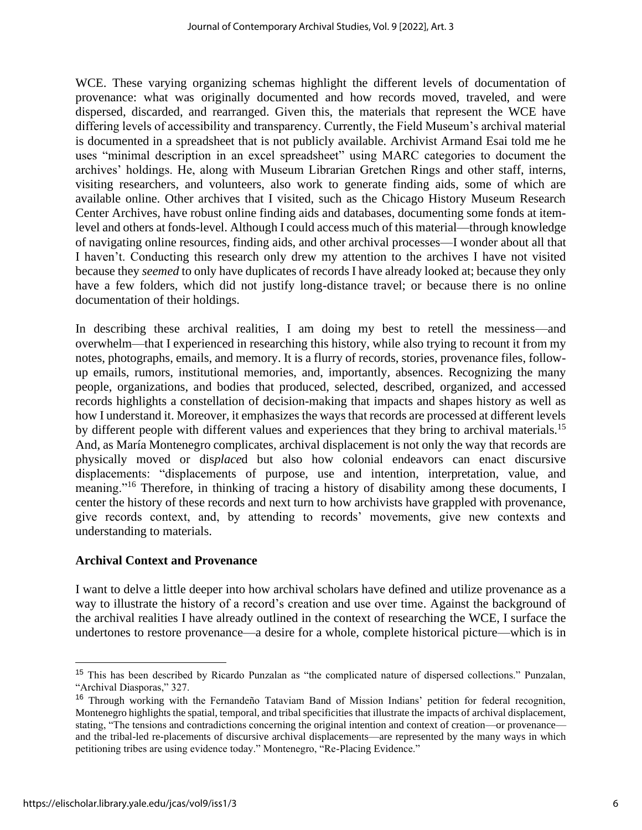WCE. These varying organizing schemas highlight the different levels of documentation of provenance: what was originally documented and how records moved, traveled, and were dispersed, discarded, and rearranged. Given this, the materials that represent the WCE have differing levels of accessibility and transparency. Currently, the Field Museum's archival material is documented in a spreadsheet that is not publicly available. Archivist Armand Esai told me he uses "minimal description in an excel spreadsheet" using MARC categories to document the archives' holdings. He, along with Museum Librarian Gretchen Rings and other staff, interns, visiting researchers, and volunteers, also work to generate finding aids, some of which are available online. Other archives that I visited, such as the Chicago History Museum Research Center Archives, have robust online finding aids and databases, documenting some fonds at itemlevel and others at fonds-level. Although I could access much of this material—through knowledge of navigating online resources, finding aids, and other archival processes—I wonder about all that I haven't. Conducting this research only drew my attention to the archives I have not visited because they *seemed* to only have duplicates of records I have already looked at; because they only have a few folders, which did not justify long-distance travel; or because there is no online documentation of their holdings.

In describing these archival realities, I am doing my best to retell the messiness—and overwhelm—that I experienced in researching this history, while also trying to recount it from my notes, photographs, emails, and memory. It is a flurry of records, stories, provenance files, followup emails, rumors, institutional memories, and, importantly, absences. Recognizing the many people, organizations, and bodies that produced, selected, described, organized, and accessed records highlights a constellation of decision-making that impacts and shapes history as well as how I understand it. Moreover, it emphasizes the ways that records are processed at different levels by different people with different values and experiences that they bring to archival materials.<sup>15</sup> And, as María Montenegro complicates, archival displacement is not only the way that records are physically moved or dis*place*d but also how colonial endeavors can enact discursive displacements: "displacements of purpose, use and intention, interpretation, value, and meaning."<sup>16</sup> Therefore, in thinking of tracing a history of disability among these documents, I center the history of these records and next turn to how archivists have grappled with provenance, give records context, and, by attending to records' movements, give new contexts and understanding to materials.

#### **Archival Context and Provenance**

I want to delve a little deeper into how archival scholars have defined and utilize provenance as a way to illustrate the history of a record's creation and use over time. Against the background of the archival realities I have already outlined in the context of researching the WCE, I surface the undertones to restore provenance—a desire for a whole, complete historical picture—which is in

<sup>15</sup> This has been described by Ricardo Punzalan as "the complicated nature of dispersed collections." Punzalan, "Archival Diasporas," 327.

<sup>16</sup> Through working with the Fernandeño Tataviam Band of Mission Indians' petition for federal recognition, Montenegro highlights the spatial, temporal, and tribal specificities that illustrate the impacts of archival displacement, stating, "The tensions and contradictions concerning the original intention and context of creation––or provenance–– and the tribal-led re-placements of discursive archival displacements––are represented by the many ways in which petitioning tribes are using evidence today." Montenegro, "Re-Placing Evidence."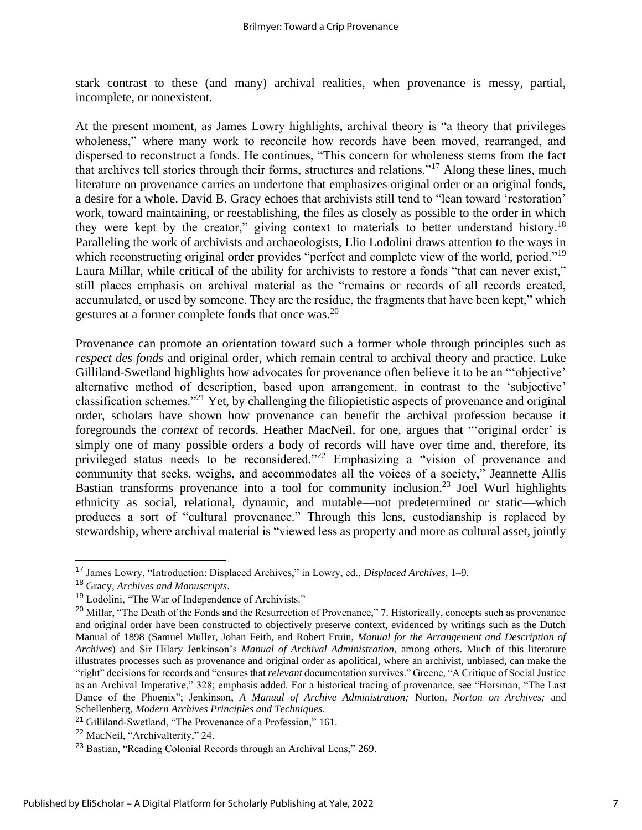stark contrast to these (and many) archival realities, when provenance is messy, partial, incomplete, or nonexistent.

At the present moment, as James Lowry highlights, archival theory is "a theory that privileges wholeness," where many work to reconcile how records have been moved, rearranged, and dispersed to reconstruct a fonds. He continues, "This concern for wholeness stems from the fact that archives tell stories through their forms, structures and relations."<sup>17</sup> Along these lines, much literature on provenance carries an undertone that emphasizes original order or an original fonds, a desire for a whole. David B. Gracy echoes that archivists still tend to "lean toward 'restoration' work, toward maintaining, or reestablishing, the files as closely as possible to the order in which they were kept by the creator," giving context to materials to better understand history.<sup>18</sup> Paralleling the work of archivists and archaeologists, Elio Lodolini draws attention to the ways in which reconstructing original order provides "perfect and complete view of the world, period."<sup>19</sup> Laura Millar, while critical of the ability for archivists to restore a fonds "that can never exist," still places emphasis on archival material as the "remains or records of all records created, accumulated, or used by someone. They are the residue, the fragments that have been kept," which gestures at a former complete fonds that once was.<sup>20</sup>

Provenance can promote an orientation toward such a former whole through principles such as *respect des fonds* and original order, which remain central to archival theory and practice. Luke Gilliland-Swetland highlights how advocates for provenance often believe it to be an "'objective' alternative method of description, based upon arrangement, in contrast to the 'subjective' classification schemes."<sup>21</sup> Yet, by challenging the filiopietistic aspects of provenance and original order, scholars have shown how provenance can benefit the archival profession because it foregrounds the *context* of records. Heather MacNeil, for one, argues that "'original order' is simply one of many possible orders a body of records will have over time and, therefore, its privileged status needs to be reconsidered."<sup>22</sup> Emphasizing a "vision of provenance and community that seeks, weighs, and accommodates all the voices of a society," Jeannette Allis Bastian transforms provenance into a tool for community inclusion.<sup>23</sup> Joel Wurl highlights ethnicity as social, relational, dynamic, and mutable—not predetermined or static—which produces a sort of "cultural provenance." Through this lens, custodianship is replaced by stewardship, where archival material is "viewed less as property and more as cultural asset, jointly

<sup>17</sup> James Lowry, "Introduction: Displaced Archives," in Lowry, ed., *Displaced Archives*, 1–9.

<sup>18</sup> Gracy, *Archives and Manuscripts*.

<sup>&</sup>lt;sup>19</sup> Lodolini, "The War of Independence of Archivists."

 $^{20}$  Millar, "The Death of the Fonds and the Resurrection of Provenance," 7. Historically, concepts such as provenance and original order have been constructed to objectively preserve context, evidenced by writings such as the Dutch Manual of 1898 (Samuel Muller, Johan Feith, and Robert Fruin, *Manual for the Arrangement and Description of Archives*) and Sir Hilary Jenkinson's *Manual of Archival Administration*, among others. Much of this literature illustrates processes such as provenance and original order as apolitical, where an archivist, unbiased, can make the "right" decisions for records and "ensures that *relevant* documentation survives." Greene, "A Critique of Social Justice as an Archival Imperative," 328; emphasis added. For a historical tracing of provenance, see "Horsman, "The Last Dance of the Phoenix"; Jenkinson, *A Manual of Archive Administration;* Norton, *Norton on Archives;* and Schellenberg, *Modern Archives Principles and Techniques*.

<sup>21</sup> Gilliland-Swetland, "The Provenance of a Profession," 161.

<sup>22</sup> MacNeil, "Archivalterity," 24.

<sup>23</sup> Bastian, "Reading Colonial Records through an Archival Lens," 269.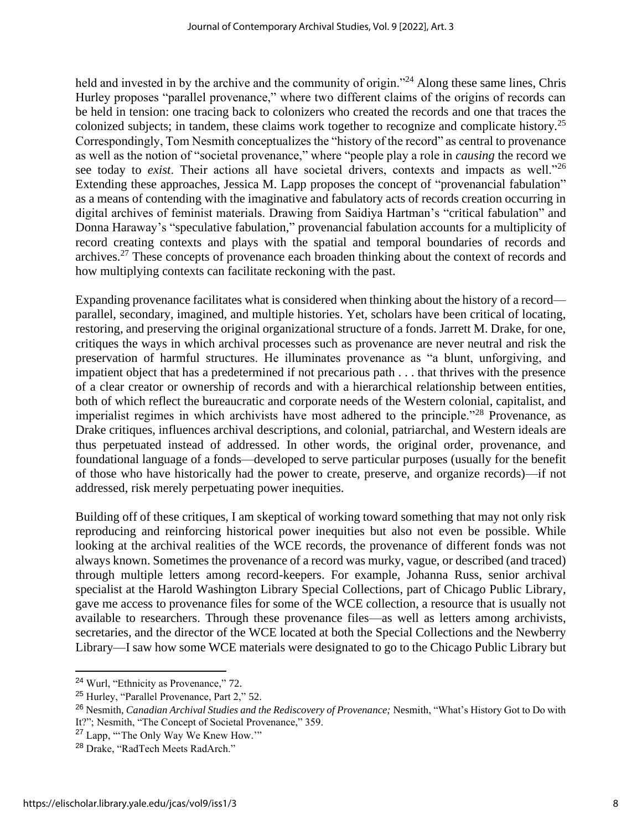held and invested in by the archive and the community of origin."<sup>24</sup> Along these same lines, Chris Hurley proposes "parallel provenance," where two different claims of the origins of records can be held in tension: one tracing back to colonizers who created the records and one that traces the colonized subjects; in tandem, these claims work together to recognize and complicate history.<sup>25</sup> Correspondingly, Tom Nesmith conceptualizes the "history of the record" as central to provenance as well as the notion of "societal provenance," where "people play a role in *causing* the record we see today to *exist*. Their actions all have societal drivers, contexts and impacts as well."<sup>26</sup> Extending these approaches, Jessica M. Lapp proposes the concept of "provenancial fabulation" as a means of contending with the imaginative and fabulatory acts of records creation occurring in digital archives of feminist materials. Drawing from Saidiya Hartman's "critical fabulation" and Donna Haraway's "speculative fabulation," provenancial fabulation accounts for a multiplicity of record creating contexts and plays with the spatial and temporal boundaries of records and archives.<sup>27</sup> These concepts of provenance each broaden thinking about the context of records and how multiplying contexts can facilitate reckoning with the past.

Expanding provenance facilitates what is considered when thinking about the history of a record parallel, secondary, imagined, and multiple histories. Yet, scholars have been critical of locating, restoring, and preserving the original organizational structure of a fonds. Jarrett M. Drake, for one, critiques the ways in which archival processes such as provenance are never neutral and risk the preservation of harmful structures. He illuminates provenance as "a blunt, unforgiving, and impatient object that has a predetermined if not precarious path . . . that thrives with the presence of a clear creator or ownership of records and with a hierarchical relationship between entities, both of which reflect the bureaucratic and corporate needs of the Western colonial, capitalist, and imperialist regimes in which archivists have most adhered to the principle."<sup>28</sup> Provenance, as Drake critiques, influences archival descriptions, and colonial, patriarchal, and Western ideals are thus perpetuated instead of addressed. In other words, the original order, provenance, and foundational language of a fonds—developed to serve particular purposes (usually for the benefit of those who have historically had the power to create, preserve, and organize records)—if not addressed, risk merely perpetuating power inequities.

Building off of these critiques, I am skeptical of working toward something that may not only risk reproducing and reinforcing historical power inequities but also not even be possible. While looking at the archival realities of the WCE records, the provenance of different fonds was not always known. Sometimes the provenance of a record was murky, vague, or described (and traced) through multiple letters among record-keepers. For example, Johanna Russ, senior archival specialist at the Harold Washington Library Special Collections, part of Chicago Public Library, gave me access to provenance files for some of the WCE collection, a resource that is usually not available to researchers. Through these provenance files—as well as letters among archivists, secretaries, and the director of the WCE located at both the Special Collections and the Newberry Library—I saw how some WCE materials were designated to go to the Chicago Public Library but

<sup>24</sup> Wurl, "Ethnicity as Provenance," 72.

<sup>25</sup> Hurley, "Parallel Provenance, Part 2," 52.

<sup>26</sup> Nesmith, *Canadian Archival Studies and the Rediscovery of Provenance;* Nesmith, "What's History Got to Do with It?"; Nesmith, "The Concept of Societal Provenance," 359.

<sup>&</sup>lt;sup>27</sup> Lapp, "The Only Way We Knew How.""

<sup>28</sup> Drake, "RadTech Meets RadArch."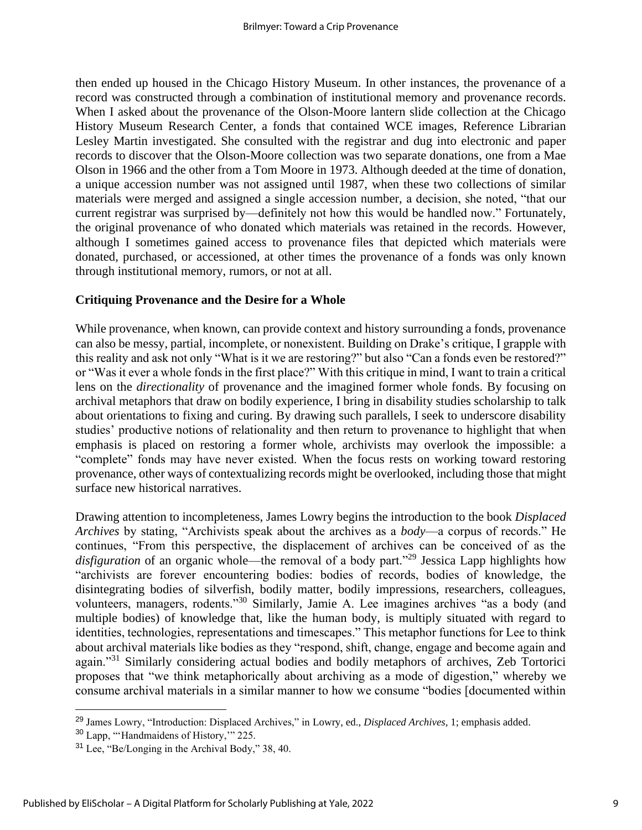then ended up housed in the Chicago History Museum. In other instances, the provenance of a record was constructed through a combination of institutional memory and provenance records. When I asked about the provenance of the Olson-Moore lantern slide collection at the Chicago History Museum Research Center, a fonds that contained WCE images, Reference Librarian Lesley Martin investigated. She consulted with the registrar and dug into electronic and paper records to discover that the Olson-Moore collection was two separate donations, one from a Mae Olson in 1966 and the other from a Tom Moore in 1973. Although deeded at the time of donation, a unique accession number was not assigned until 1987, when these two collections of similar materials were merged and assigned a single accession number, a decision, she noted, "that our current registrar was surprised by—definitely not how this would be handled now." Fortunately, the original provenance of who donated which materials was retained in the records. However, although I sometimes gained access to provenance files that depicted which materials were donated, purchased, or accessioned, at other times the provenance of a fonds was only known through institutional memory, rumors, or not at all.

#### **Critiquing Provenance and the Desire for a Whole**

While provenance, when known, can provide context and history surrounding a fonds, provenance can also be messy, partial, incomplete, or nonexistent. Building on Drake's critique, I grapple with this reality and ask not only "What is it we are restoring?" but also "Can a fonds even be restored?" or "Was it ever a whole fonds in the first place?" With this critique in mind, I want to train a critical lens on the *directionality* of provenance and the imagined former whole fonds. By focusing on archival metaphors that draw on bodily experience, I bring in disability studies scholarship to talk about orientations to fixing and curing. By drawing such parallels, I seek to underscore disability studies' productive notions of relationality and then return to provenance to highlight that when emphasis is placed on restoring a former whole, archivists may overlook the impossible: a "complete" fonds may have never existed. When the focus rests on working toward restoring provenance, other ways of contextualizing records might be overlooked, including those that might surface new historical narratives.

Drawing attention to incompleteness, James Lowry begins the introduction to the book *Displaced Archives* by stating, "Archivists speak about the archives as a *body*—a corpus of records." He continues, "From this perspective, the displacement of archives can be conceived of as the disfiguration of an organic whole—the removal of a body part.<sup>"29</sup> Jessica Lapp highlights how "archivists are forever encountering bodies: bodies of records, bodies of knowledge, the disintegrating bodies of silverfish, bodily matter, bodily impressions, researchers, colleagues, volunteers, managers, rodents."<sup>30</sup> Similarly, Jamie A. Lee imagines archives "as a body (and multiple bodies) of knowledge that, like the human body, is multiply situated with regard to identities, technologies, representations and timescapes." This metaphor functions for Lee to think about archival materials like bodies as they "respond, shift, change, engage and become again and again."<sup>31</sup> Similarly considering actual bodies and bodily metaphors of archives, Zeb Tortorici proposes that "we think metaphorically about archiving as a mode of digestion," whereby we consume archival materials in a similar manner to how we consume "bodies [documented within

<sup>29</sup> James Lowry, "Introduction: Displaced Archives," in Lowry, ed., *Displaced Archives*, 1; emphasis added.

<sup>30</sup> Lapp, "'Handmaidens of History,'" 225.

<sup>31</sup> Lee, "Be/Longing in the Archival Body," 38, 40.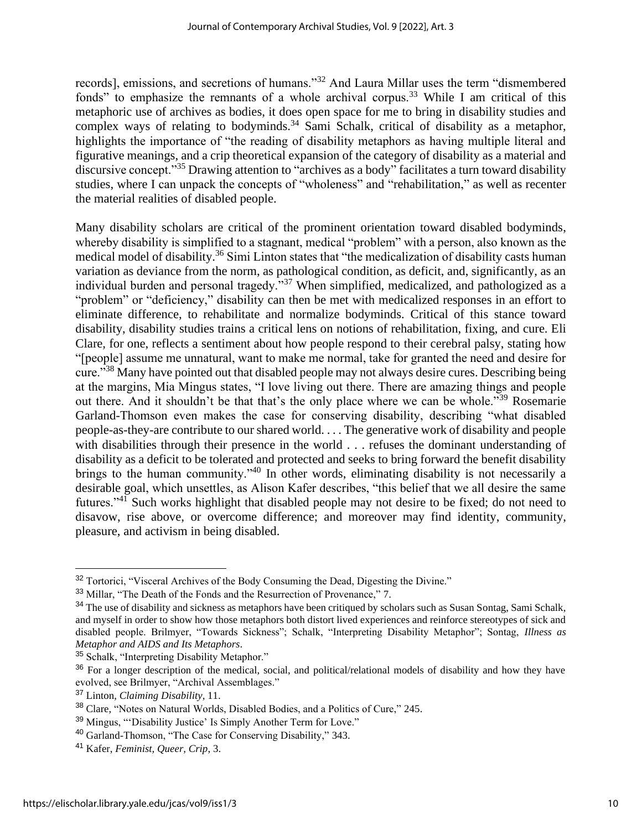records], emissions, and secretions of humans."<sup>32</sup> And Laura Millar uses the term "dismembered fonds" to emphasize the remnants of a whole archival corpus.<sup>33</sup> While I am critical of this metaphoric use of archives as bodies, it does open space for me to bring in disability studies and complex ways of relating to bodyminds.<sup>34</sup> Sami Schalk, critical of disability as a metaphor, highlights the importance of "the reading of disability metaphors as having multiple literal and figurative meanings, and a crip theoretical expansion of the category of disability as a material and discursive concept."<sup>35</sup> Drawing attention to "archives as a body" facilitates a turn toward disability studies, where I can unpack the concepts of "wholeness" and "rehabilitation," as well as recenter the material realities of disabled people.

Many disability scholars are critical of the prominent orientation toward disabled bodyminds, whereby disability is simplified to a stagnant, medical "problem" with a person, also known as the medical model of disability.<sup>36</sup> Simi Linton states that "the medicalization of disability casts human variation as deviance from the norm, as pathological condition, as deficit, and, significantly, as an individual burden and personal tragedy."<sup>37</sup> When simplified, medicalized, and pathologized as a "problem" or "deficiency," disability can then be met with medicalized responses in an effort to eliminate difference, to rehabilitate and normalize bodyminds. Critical of this stance toward disability, disability studies trains a critical lens on notions of rehabilitation, fixing, and cure. Eli Clare, for one, reflects a sentiment about how people respond to their cerebral palsy, stating how "[people] assume me unnatural, want to make me normal, take for granted the need and desire for cure."<sup>38</sup> Many have pointed out that disabled people may not always desire cures. Describing being at the margins, Mia Mingus states, "I love living out there. There are amazing things and people out there. And it shouldn't be that that's the only place where we can be whole."<sup>39</sup> Rosemarie Garland-Thomson even makes the case for conserving disability, describing "what disabled people-as-they-are contribute to our shared world. . . . The generative work of disability and people with disabilities through their presence in the world . . . refuses the dominant understanding of disability as a deficit to be tolerated and protected and seeks to bring forward the benefit disability brings to the human community."<sup>40</sup> In other words, eliminating disability is not necessarily a desirable goal, which unsettles, as Alison Kafer describes, "this belief that we all desire the same futures."<sup>41</sup> Such works highlight that disabled people may not desire to be fixed; do not need to disavow, rise above, or overcome difference; and moreover may find identity, community, pleasure, and activism in being disabled.

<sup>&</sup>lt;sup>32</sup> Tortorici, "Visceral Archives of the Body Consuming the Dead, Digesting the Divine."

<sup>33</sup> Millar, "The Death of the Fonds and the Resurrection of Provenance," 7.

<sup>&</sup>lt;sup>34</sup> The use of disability and sickness as metaphors have been critiqued by scholars such as Susan Sontag, Sami Schalk, and myself in order to show how those metaphors both distort lived experiences and reinforce stereotypes of sick and disabled people. Brilmyer, "Towards Sickness"; Schalk, "Interpreting Disability Metaphor"; Sontag, *Illness as Metaphor and AIDS and Its Metaphors*.

<sup>35</sup> Schalk, "Interpreting Disability Metaphor."

<sup>&</sup>lt;sup>36</sup> For a longer description of the medical, social, and political/relational models of disability and how they have evolved, see Brilmyer, "Archival Assemblages."

<sup>37</sup> Linton, *Claiming Disability*, 11.

<sup>&</sup>lt;sup>38</sup> Clare, "Notes on Natural Worlds, Disabled Bodies, and a Politics of Cure." 245.

<sup>39</sup> Mingus, "'Disability Justice' Is Simply Another Term for Love."

<sup>40</sup> Garland-Thomson, "The Case for Conserving Disability," 343.

<sup>41</sup> Kafer, *Feminist, Queer, Crip*, 3.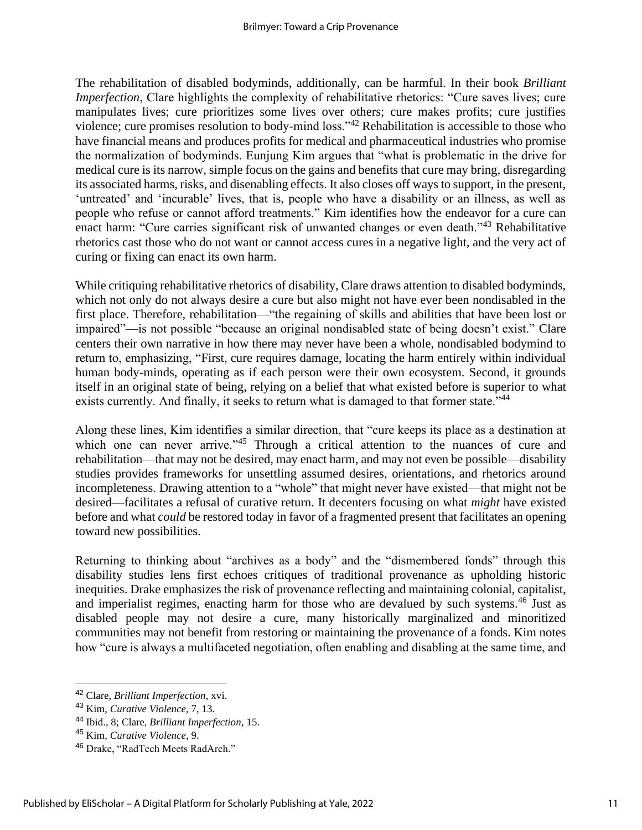The rehabilitation of disabled bodyminds, additionally, can be harmful. In their book *Brilliant Imperfection*, Clare highlights the complexity of rehabilitative rhetorics: "Cure saves lives; cure manipulates lives; cure prioritizes some lives over others; cure makes profits; cure justifies violence; cure promises resolution to body-mind loss."<sup>42</sup> Rehabilitation is accessible to those who have financial means and produces profits for medical and pharmaceutical industries who promise the normalization of bodyminds. Eunjung Kim argues that "what is problematic in the drive for medical cure is its narrow, simple focus on the gains and benefits that cure may bring, disregarding its associated harms, risks, and disenabling effects. It also closes off ways to support, in the present, 'untreated' and 'incurable' lives, that is, people who have a disability or an illness, as well as people who refuse or cannot afford treatments." Kim identifies how the endeavor for a cure can enact harm: "Cure carries significant risk of unwanted changes or even death."<sup>43</sup> Rehabilitative rhetorics cast those who do not want or cannot access cures in a negative light, and the very act of curing or fixing can enact its own harm.

While critiquing rehabilitative rhetorics of disability, Clare draws attention to disabled bodyminds, which not only do not always desire a cure but also might not have ever been nondisabled in the first place. Therefore, rehabilitation—"the regaining of skills and abilities that have been lost or impaired"—is not possible "because an original nondisabled state of being doesn't exist." Clare centers their own narrative in how there may never have been a whole, nondisabled bodymind to return to, emphasizing, "First, cure requires damage, locating the harm entirely within individual human body-minds, operating as if each person were their own ecosystem. Second, it grounds itself in an original state of being, relying on a belief that what existed before is superior to what exists currently. And finally, it seeks to return what is damaged to that former state."<sup>44</sup>

Along these lines, Kim identifies a similar direction, that "cure keeps its place as a destination at which one can never arrive."<sup>45</sup> Through a critical attention to the nuances of cure and rehabilitation—that may not be desired, may enact harm, and may not even be possible—disability studies provides frameworks for unsettling assumed desires, orientations, and rhetorics around incompleteness. Drawing attention to a "whole" that might never have existed—that might not be desired—facilitates a refusal of curative return. It decenters focusing on what *might* have existed before and what *could* be restored today in favor of a fragmented present that facilitates an opening toward new possibilities.

Returning to thinking about "archives as a body" and the "dismembered fonds" through this disability studies lens first echoes critiques of traditional provenance as upholding historic inequities. Drake emphasizes the risk of provenance reflecting and maintaining colonial, capitalist, and imperialist regimes, enacting harm for those who are devalued by such systems.<sup>46</sup> Just as disabled people may not desire a cure, many historically marginalized and minoritized communities may not benefit from restoring or maintaining the provenance of a fonds. Kim notes how "cure is always a multifaceted negotiation, often enabling and disabling at the same time, and

<sup>42</sup> Clare, *Brilliant Imperfection*, xvi.

<sup>43</sup> Kim, *Curative Violence*, 7, 13.

<sup>44</sup> Ibid., 8; Clare, *Brilliant Imperfection*, 15.

<sup>45</sup> Kim, *Curative Violence*, 9.

<sup>46</sup> Drake, "RadTech Meets RadArch."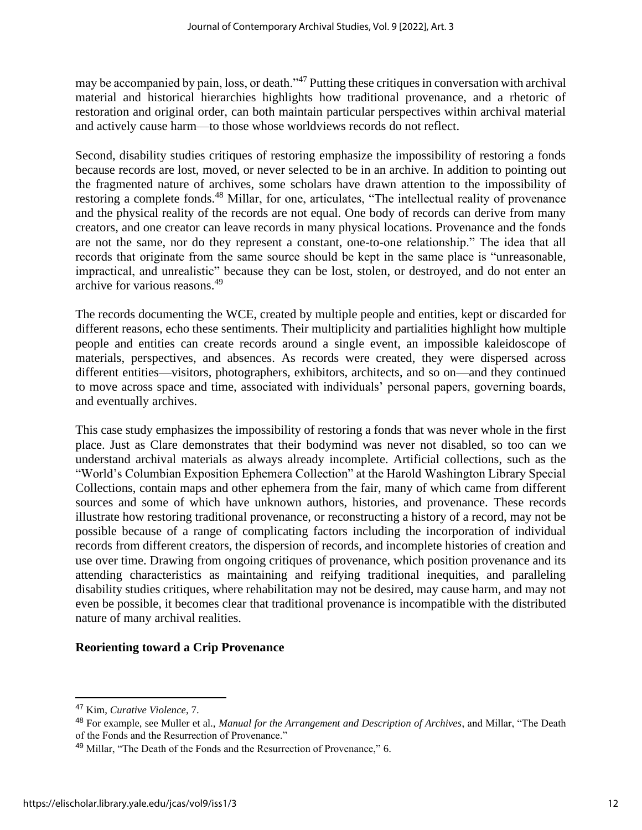may be accompanied by pain, loss, or death."<sup>47</sup> Putting these critiques in conversation with archival material and historical hierarchies highlights how traditional provenance, and a rhetoric of restoration and original order, can both maintain particular perspectives within archival material and actively cause harm—to those whose worldviews records do not reflect.

Second, disability studies critiques of restoring emphasize the impossibility of restoring a fonds because records are lost, moved, or never selected to be in an archive. In addition to pointing out the fragmented nature of archives, some scholars have drawn attention to the impossibility of restoring a complete fonds.<sup>48</sup> Millar, for one, articulates, "The intellectual reality of provenance and the physical reality of the records are not equal. One body of records can derive from many creators, and one creator can leave records in many physical locations. Provenance and the fonds are not the same, nor do they represent a constant, one-to-one relationship." The idea that all records that originate from the same source should be kept in the same place is "unreasonable, impractical, and unrealistic" because they can be lost, stolen, or destroyed, and do not enter an archive for various reasons.<sup>49</sup>

The records documenting the WCE, created by multiple people and entities, kept or discarded for different reasons, echo these sentiments. Their multiplicity and partialities highlight how multiple people and entities can create records around a single event, an impossible kaleidoscope of materials, perspectives, and absences. As records were created, they were dispersed across different entities—visitors, photographers, exhibitors, architects, and so on—and they continued to move across space and time, associated with individuals' personal papers, governing boards, and eventually archives.

This case study emphasizes the impossibility of restoring a fonds that was never whole in the first place. Just as Clare demonstrates that their bodymind was never not disabled, so too can we understand archival materials as always already incomplete. Artificial collections, such as the "World's Columbian Exposition Ephemera Collection" at the Harold Washington Library Special Collections, contain maps and other ephemera from the fair, many of which came from different sources and some of which have unknown authors, histories, and provenance. These records illustrate how restoring traditional provenance, or reconstructing a history of a record, may not be possible because of a range of complicating factors including the incorporation of individual records from different creators, the dispersion of records, and incomplete histories of creation and use over time. Drawing from ongoing critiques of provenance, which position provenance and its attending characteristics as maintaining and reifying traditional inequities, and paralleling disability studies critiques, where rehabilitation may not be desired, may cause harm, and may not even be possible, it becomes clear that traditional provenance is incompatible with the distributed nature of many archival realities.

#### **Reorienting toward a Crip Provenance**

<sup>47</sup> Kim, *Curative Violence*, 7.

<sup>48</sup> For example, see Muller et al., *Manual for the Arrangement and Description of Archives*, and Millar, "The Death of the Fonds and the Resurrection of Provenance."

<sup>49</sup> Millar, "The Death of the Fonds and the Resurrection of Provenance," 6.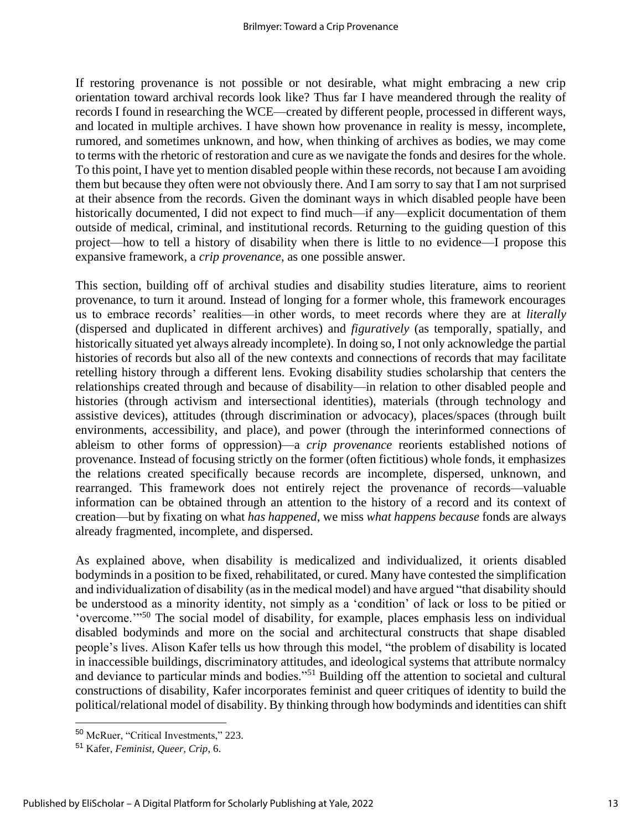If restoring provenance is not possible or not desirable, what might embracing a new crip orientation toward archival records look like? Thus far I have meandered through the reality of records I found in researching the WCE—created by different people, processed in different ways, and located in multiple archives. I have shown how provenance in reality is messy, incomplete, rumored, and sometimes unknown, and how, when thinking of archives as bodies, we may come to terms with the rhetoric of restoration and cure as we navigate the fonds and desires for the whole. To this point, I have yet to mention disabled people within these records, not because I am avoiding them but because they often were not obviously there. And I am sorry to say that I am not surprised at their absence from the records. Given the dominant ways in which disabled people have been historically documented, I did not expect to find much—if any—explicit documentation of them outside of medical, criminal, and institutional records. Returning to the guiding question of this project—how to tell a history of disability when there is little to no evidence—I propose this expansive framework, a *crip provenance*, as one possible answer.

This section, building off of archival studies and disability studies literature, aims to reorient provenance, to turn it around. Instead of longing for a former whole, this framework encourages us to embrace records' realities—in other words, to meet records where they are at *literally* (dispersed and duplicated in different archives) and *figuratively* (as temporally, spatially, and historically situated yet always already incomplete). In doing so, I not only acknowledge the partial histories of records but also all of the new contexts and connections of records that may facilitate retelling history through a different lens. Evoking disability studies scholarship that centers the relationships created through and because of disability—in relation to other disabled people and histories (through activism and intersectional identities), materials (through technology and assistive devices), attitudes (through discrimination or advocacy), places/spaces (through built environments, accessibility, and place), and power (through the interinformed connections of ableism to other forms of oppression)—a *crip provenance* reorients established notions of provenance. Instead of focusing strictly on the former (often fictitious) whole fonds, it emphasizes the relations created specifically because records are incomplete, dispersed, unknown, and rearranged. This framework does not entirely reject the provenance of records—valuable information can be obtained through an attention to the history of a record and its context of creation—but by fixating on what *has happened*, we miss *what happens because* fonds are always already fragmented, incomplete, and dispersed.

As explained above, when disability is medicalized and individualized, it orients disabled bodyminds in a position to be fixed, rehabilitated, or cured. Many have contested the simplification and individualization of disability (as in the medical model) and have argued "that disability should be understood as a minority identity, not simply as a 'condition' of lack or loss to be pitied or 'overcome.'"<sup>50</sup> The social model of disability, for example, places emphasis less on individual disabled bodyminds and more on the social and architectural constructs that shape disabled people's lives. Alison Kafer tells us how through this model, "the problem of disability is located in inaccessible buildings, discriminatory attitudes, and ideological systems that attribute normalcy and deviance to particular minds and bodies."<sup>51</sup> Building off the attention to societal and cultural constructions of disability, Kafer incorporates feminist and queer critiques of identity to build the political/relational model of disability. By thinking through how bodyminds and identities can shift

<sup>50</sup> McRuer, "Critical Investments," 223.

<sup>51</sup> Kafer, *Feminist, Queer, Crip*, 6.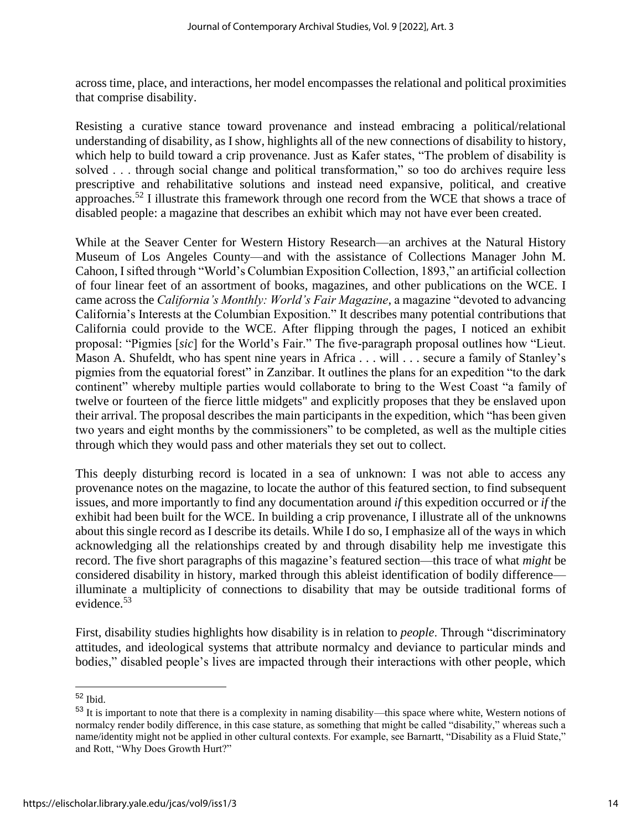across time, place, and interactions, her model encompasses the relational and political proximities that comprise disability.

Resisting a curative stance toward provenance and instead embracing a political/relational understanding of disability, as I show, highlights all of the new connections of disability to history, which help to build toward a crip provenance. Just as Kafer states, "The problem of disability is solved . . . through social change and political transformation," so too do archives require less prescriptive and rehabilitative solutions and instead need expansive, political, and creative approaches.<sup>52</sup> I illustrate this framework through one record from the WCE that shows a trace of disabled people: a magazine that describes an exhibit which may not have ever been created.

While at the Seaver Center for Western History Research—an archives at the Natural History Museum of Los Angeles County—and with the assistance of Collections Manager John M. Cahoon, I sifted through "World's Columbian Exposition Collection, 1893," an artificial collection of four linear feet of an assortment of books, magazines, and other publications on the WCE. I came across the *California's Monthly: World's Fair Magazine*, a magazine "devoted to advancing California's Interests at the Columbian Exposition." It describes many potential contributions that California could provide to the WCE. After flipping through the pages, I noticed an exhibit proposal: "Pigmies [*sic*] for the World's Fair." The five-paragraph proposal outlines how "Lieut. Mason A. Shufeldt, who has spent nine years in Africa . . . will . . . secure a family of Stanley's pigmies from the equatorial forest" in Zanzibar. It outlines the plans for an expedition "to the dark continent" whereby multiple parties would collaborate to bring to the West Coast "a family of twelve or fourteen of the fierce little midgets" and explicitly proposes that they be enslaved upon their arrival. The proposal describes the main participants in the expedition, which "has been given two years and eight months by the commissioners" to be completed, as well as the multiple cities through which they would pass and other materials they set out to collect.

This deeply disturbing record is located in a sea of unknown: I was not able to access any provenance notes on the magazine, to locate the author of this featured section, to find subsequent issues, and more importantly to find any documentation around *if* this expedition occurred or *if* the exhibit had been built for the WCE. In building a crip provenance, I illustrate all of the unknowns about this single record as I describe its details. While I do so, I emphasize all of the ways in which acknowledging all the relationships created by and through disability help me investigate this record. The five short paragraphs of this magazine's featured section—this trace of what *might* be considered disability in history, marked through this ableist identification of bodily difference illuminate a multiplicity of connections to disability that may be outside traditional forms of evidence. 53

First, disability studies highlights how disability is in relation to *people*. Through "discriminatory attitudes, and ideological systems that attribute normalcy and deviance to particular minds and bodies," disabled people's lives are impacted through their interactions with other people, which

<sup>52</sup> Ibid.

<sup>53</sup> It is important to note that there is a complexity in naming disability—this space where white, Western notions of normalcy render bodily difference, in this case stature, as something that might be called "disability," whereas such a name/identity might not be applied in other cultural contexts. For example, see Barnartt, "Disability as a Fluid State," and Rott, "Why Does Growth Hurt?"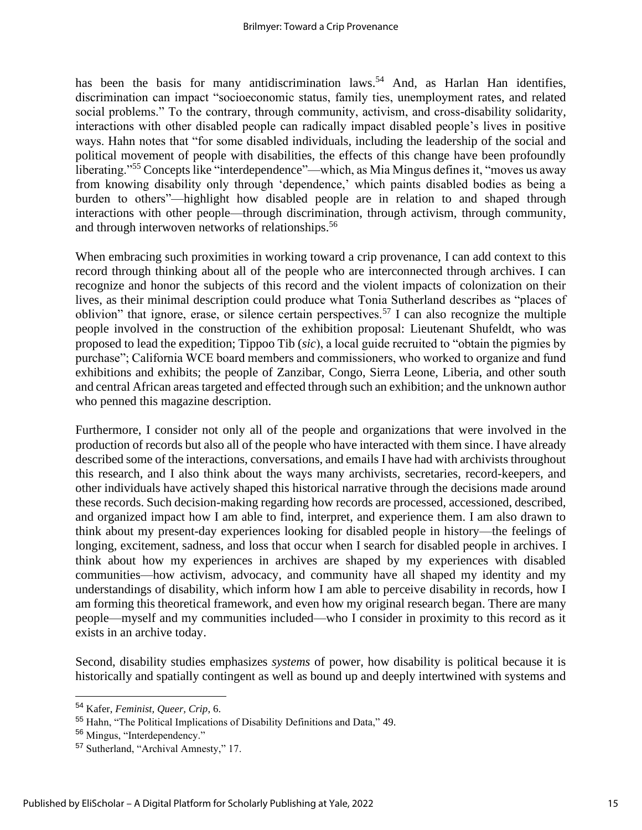has been the basis for many antidiscrimination laws.<sup>54</sup> And, as Harlan Han identifies, discrimination can impact "socioeconomic status, family ties, unemployment rates, and related social problems." To the contrary, through community, activism, and cross-disability solidarity, interactions with other disabled people can radically impact disabled people's lives in positive ways. Hahn notes that "for some disabled individuals, including the leadership of the social and political movement of people with disabilities, the effects of this change have been profoundly liberating."<sup>55</sup> Concepts like "interdependence"—which, as Mia Mingus defines it, "moves us away from knowing disability only through 'dependence,' which paints disabled bodies as being a burden to others"—highlight how disabled people are in relation to and shaped through interactions with other people—through discrimination, through activism, through community, and through interwoven networks of relationships.<sup>56</sup>

When embracing such proximities in working toward a crip provenance, I can add context to this record through thinking about all of the people who are interconnected through archives. I can recognize and honor the subjects of this record and the violent impacts of colonization on their lives, as their minimal description could produce what Tonia Sutherland describes as "places of oblivion" that ignore, erase, or silence certain perspectives.<sup>57</sup> I can also recognize the multiple people involved in the construction of the exhibition proposal: Lieutenant Shufeldt, who was proposed to lead the expedition; Tippoo Tib (*sic*), a local guide recruited to "obtain the pigmies by purchase"; California WCE board members and commissioners, who worked to organize and fund exhibitions and exhibits; the people of Zanzibar, Congo, Sierra Leone, Liberia, and other south and central African areas targeted and effected through such an exhibition; and the unknown author who penned this magazine description.

Furthermore, I consider not only all of the people and organizations that were involved in the production of records but also all of the people who have interacted with them since. I have already described some of the interactions, conversations, and emails I have had with archivists throughout this research, and I also think about the ways many archivists, secretaries, record-keepers, and other individuals have actively shaped this historical narrative through the decisions made around these records. Such decision-making regarding how records are processed, accessioned, described, and organized impact how I am able to find, interpret, and experience them. I am also drawn to think about my present-day experiences looking for disabled people in history—the feelings of longing, excitement, sadness, and loss that occur when I search for disabled people in archives. I think about how my experiences in archives are shaped by my experiences with disabled communities—how activism, advocacy, and community have all shaped my identity and my understandings of disability, which inform how I am able to perceive disability in records, how I am forming this theoretical framework, and even how my original research began. There are many people—myself and my communities included—who I consider in proximity to this record as it exists in an archive today.

Second, disability studies emphasizes *systems* of power, how disability is political because it is historically and spatially contingent as well as bound up and deeply intertwined with systems and

<sup>54</sup> Kafer, *Feminist, Queer, Crip*, 6.

<sup>55</sup> Hahn, "The Political Implications of Disability Definitions and Data," 49.

<sup>56</sup> Mingus, "Interdependency."

<sup>57</sup> Sutherland, "Archival Amnesty," 17.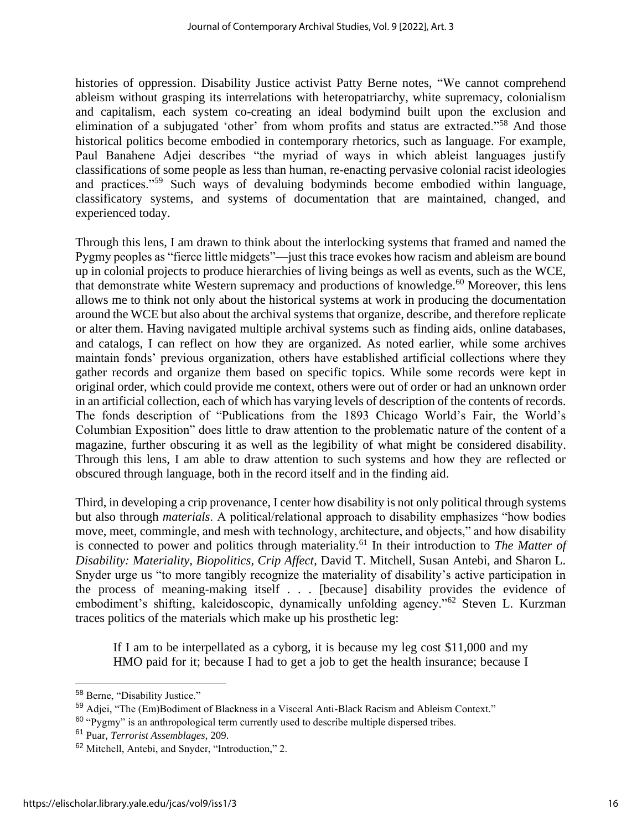histories of oppression. Disability Justice activist Patty Berne notes, "We cannot comprehend ableism without grasping its interrelations with heteropatriarchy, white supremacy, colonialism and capitalism, each system co-creating an ideal bodymind built upon the exclusion and elimination of a subjugated 'other' from whom profits and status are extracted."<sup>58</sup> And those historical politics become embodied in contemporary rhetorics, such as language. For example, Paul Banahene Adjei describes "the myriad of ways in which ableist languages justify classifications of some people as less than human, re-enacting pervasive colonial racist ideologies and practices."<sup>59</sup> Such ways of devaluing bodyminds become embodied within language, classificatory systems, and systems of documentation that are maintained, changed, and experienced today.

Through this lens, I am drawn to think about the interlocking systems that framed and named the Pygmy peoples as "fierce little midgets"—just this trace evokes how racism and ableism are bound up in colonial projects to produce hierarchies of living beings as well as events, such as the WCE, that demonstrate white Western supremacy and productions of knowledge.<sup>60</sup> Moreover, this lens allows me to think not only about the historical systems at work in producing the documentation around the WCE but also about the archival systems that organize, describe, and therefore replicate or alter them. Having navigated multiple archival systems such as finding aids, online databases, and catalogs, I can reflect on how they are organized. As noted earlier, while some archives maintain fonds' previous organization, others have established artificial collections where they gather records and organize them based on specific topics. While some records were kept in original order, which could provide me context, others were out of order or had an unknown order in an artificial collection, each of which has varying levels of description of the contents of records. The fonds description of "Publications from the 1893 Chicago World's Fair, the World's Columbian Exposition" does little to draw attention to the problematic nature of the content of a magazine, further obscuring it as well as the legibility of what might be considered disability. Through this lens, I am able to draw attention to such systems and how they are reflected or obscured through language, both in the record itself and in the finding aid.

Third, in developing a crip provenance, I center how disability is not only political through systems but also through *materials*. A political/relational approach to disability emphasizes "how bodies move, meet, commingle, and mesh with technology, architecture, and objects," and how disability is connected to power and politics through materiality.<sup>61</sup> In their introduction to *The Matter of Disability: Materiality, Biopolitics, Crip Affect*, David T. Mitchell, Susan Antebi, and Sharon L. Snyder urge us "to more tangibly recognize the materiality of disability's active participation in the process of meaning-making itself . . . [because] disability provides the evidence of embodiment's shifting, kaleidoscopic, dynamically unfolding agency."<sup>62</sup> Steven L. Kurzman traces politics of the materials which make up his prosthetic leg:

If I am to be interpellated as a cyborg, it is because my leg cost \$11,000 and my HMO paid for it; because I had to get a job to get the health insurance; because I

<sup>58</sup> Berne, "Disability Justice."

<sup>59</sup> Adjei, "The (Em)Bodiment of Blackness in a Visceral Anti-Black Racism and Ableism Context."

<sup>&</sup>lt;sup>60</sup> "Pvgmy" is an anthropological term currently used to describe multiple dispersed tribes.

<sup>61</sup> Puar, *Terrorist Assemblages*, 209.

<sup>62</sup> Mitchell, Antebi, and Snyder, "Introduction," 2.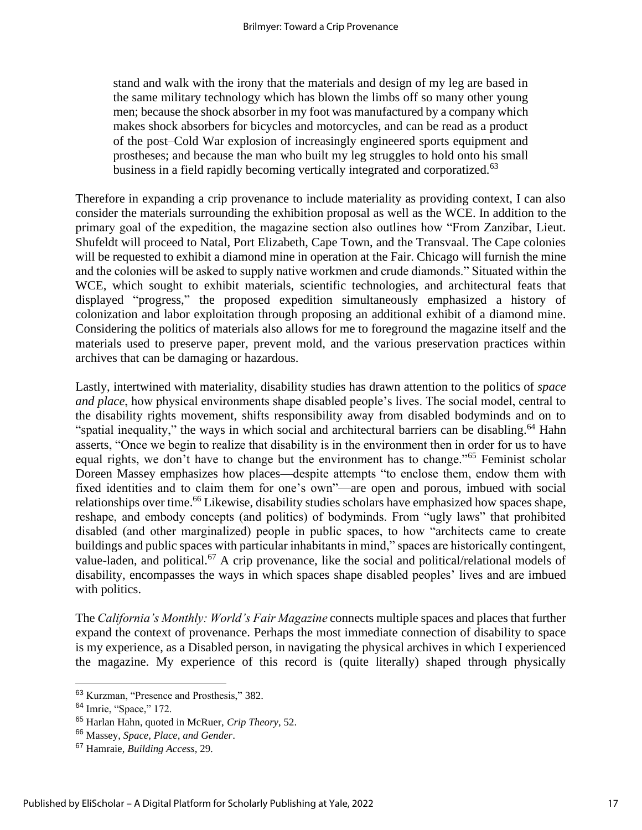stand and walk with the irony that the materials and design of my leg are based in the same military technology which has blown the limbs off so many other young men; because the shock absorber in my foot was manufactured by a company which makes shock absorbers for bicycles and motorcycles, and can be read as a product of the post–Cold War explosion of increasingly engineered sports equipment and prostheses; and because the man who built my leg struggles to hold onto his small business in a field rapidly becoming vertically integrated and corporatized.<sup>63</sup>

Therefore in expanding a crip provenance to include materiality as providing context, I can also consider the materials surrounding the exhibition proposal as well as the WCE. In addition to the primary goal of the expedition, the magazine section also outlines how "From Zanzibar, Lieut. Shufeldt will proceed to Natal, Port Elizabeth, Cape Town, and the Transvaal. The Cape colonies will be requested to exhibit a diamond mine in operation at the Fair. Chicago will furnish the mine and the colonies will be asked to supply native workmen and crude diamonds." Situated within the WCE, which sought to exhibit materials, scientific technologies, and architectural feats that displayed "progress," the proposed expedition simultaneously emphasized a history of colonization and labor exploitation through proposing an additional exhibit of a diamond mine. Considering the politics of materials also allows for me to foreground the magazine itself and the materials used to preserve paper, prevent mold, and the various preservation practices within archives that can be damaging or hazardous.

Lastly, intertwined with materiality, disability studies has drawn attention to the politics of *space and place*, how physical environments shape disabled people's lives. The social model, central to the disability rights movement, shifts responsibility away from disabled bodyminds and on to "spatial inequality," the ways in which social and architectural barriers can be disabling.<sup>64</sup> Hahn asserts, "Once we begin to realize that disability is in the environment then in order for us to have equal rights, we don't have to change but the environment has to change."<sup>65</sup> Feminist scholar Doreen Massey emphasizes how places—despite attempts "to enclose them, endow them with fixed identities and to claim them for one's own"—are open and porous, imbued with social relationships over time.<sup>66</sup> Likewise, disability studies scholars have emphasized how spaces shape, reshape, and embody concepts (and politics) of bodyminds. From "ugly laws" that prohibited disabled (and other marginalized) people in public spaces, to how "architects came to create buildings and public spaces with particular inhabitants in mind," spaces are historically contingent, value-laden, and political.<sup>67</sup> A crip provenance, like the social and political/relational models of disability, encompasses the ways in which spaces shape disabled peoples' lives and are imbued with politics.

The *California's Monthly: World's Fair Magazine* connects multiple spaces and places that further expand the context of provenance. Perhaps the most immediate connection of disability to space is my experience, as a Disabled person, in navigating the physical archives in which I experienced the magazine. My experience of this record is (quite literally) shaped through physically

<sup>63</sup> Kurzman, "Presence and Prosthesis," 382.

<sup>64</sup> Imrie, "Space," 172.

<sup>65</sup> Harlan Hahn, quoted in McRuer, *Crip Theory*, 52.

<sup>66</sup> Massey, *Space, Place, and Gender*.

<sup>67</sup> Hamraie, *Building Access*, 29.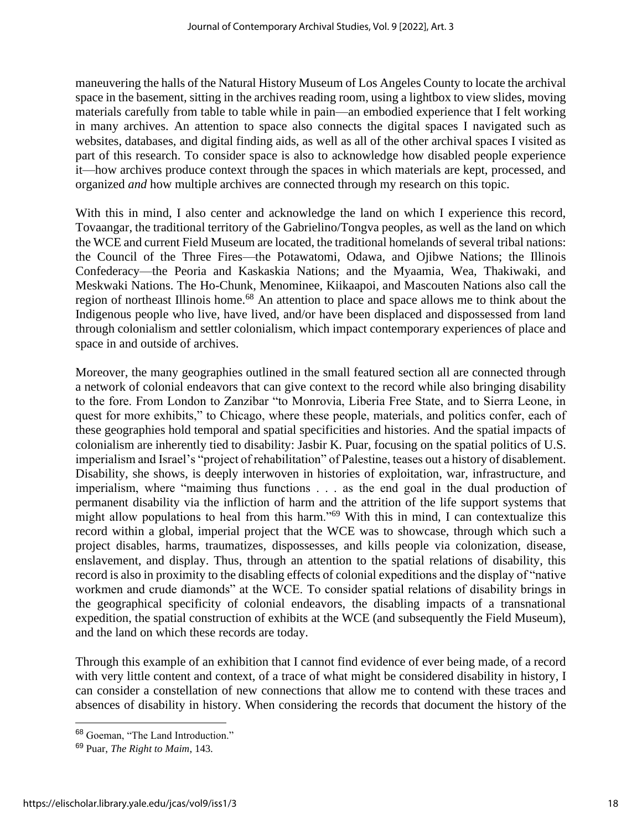maneuvering the halls of the Natural History Museum of Los Angeles County to locate the archival space in the basement, sitting in the archives reading room, using a lightbox to view slides, moving materials carefully from table to table while in pain—an embodied experience that I felt working in many archives. An attention to space also connects the digital spaces I navigated such as websites, databases, and digital finding aids, as well as all of the other archival spaces I visited as part of this research. To consider space is also to acknowledge how disabled people experience it—how archives produce context through the spaces in which materials are kept, processed, and organized *and* how multiple archives are connected through my research on this topic.

With this in mind, I also center and acknowledge the land on which I experience this record, Tovaangar, the traditional territory of the Gabrielino/Tongva peoples, as well as the land on which the WCE and current Field Museum are located, the traditional homelands of several tribal nations: the Council of the Three Fires—the Potawatomi, Odawa, and Ojibwe Nations; the Illinois Confederacy—the Peoria and Kaskaskia Nations; and the Myaamia, Wea, Thakiwaki, and Meskwaki Nations. The Ho-Chunk, Menominee, Kiikaapoi, and Mascouten Nations also call the region of northeast Illinois home.<sup>68</sup> An attention to place and space allows me to think about the Indigenous people who live, have lived, and/or have been displaced and dispossessed from land through colonialism and settler colonialism, which impact contemporary experiences of place and space in and outside of archives.

Moreover, the many geographies outlined in the small featured section all are connected through a network of colonial endeavors that can give context to the record while also bringing disability to the fore. From London to Zanzibar "to Monrovia, Liberia Free State, and to Sierra Leone, in quest for more exhibits," to Chicago, where these people, materials, and politics confer, each of these geographies hold temporal and spatial specificities and histories. And the spatial impacts of colonialism are inherently tied to disability: Jasbir K. Puar, focusing on the spatial politics of U.S. imperialism and Israel's "project of rehabilitation" of Palestine, teases out a history of disablement. Disability, she shows, is deeply interwoven in histories of exploitation, war, infrastructure, and imperialism, where "maiming thus functions . . . as the end goal in the dual production of permanent disability via the infliction of harm and the attrition of the life support systems that might allow populations to heal from this harm."<sup>69</sup> With this in mind, I can contextualize this record within a global, imperial project that the WCE was to showcase, through which such a project disables, harms, traumatizes, dispossesses, and kills people via colonization, disease, enslavement, and display. Thus, through an attention to the spatial relations of disability, this record is also in proximity to the disabling effects of colonial expeditions and the display of "native workmen and crude diamonds" at the WCE. To consider spatial relations of disability brings in the geographical specificity of colonial endeavors, the disabling impacts of a transnational expedition, the spatial construction of exhibits at the WCE (and subsequently the Field Museum), and the land on which these records are today.

Through this example of an exhibition that I cannot find evidence of ever being made, of a record with very little content and context, of a trace of what might be considered disability in history, I can consider a constellation of new connections that allow me to contend with these traces and absences of disability in history. When considering the records that document the history of the

<sup>68</sup> Goeman, "The Land Introduction."

<sup>69</sup> Puar, *The Right to Maim*, 143.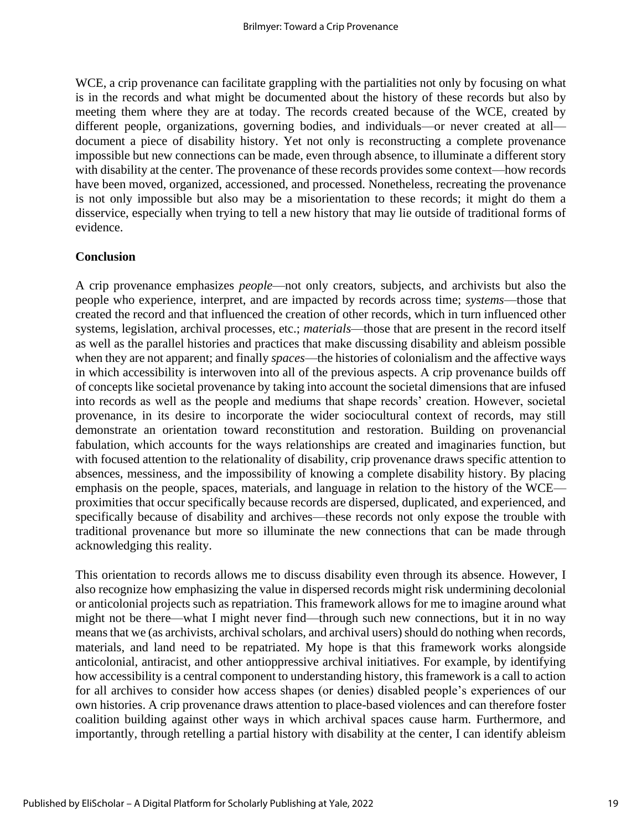WCE, a crip provenance can facilitate grappling with the partialities not only by focusing on what is in the records and what might be documented about the history of these records but also by meeting them where they are at today. The records created because of the WCE, created by different people, organizations, governing bodies, and individuals—or never created at all document a piece of disability history. Yet not only is reconstructing a complete provenance impossible but new connections can be made, even through absence, to illuminate a different story with disability at the center. The provenance of these records provides some context—how records have been moved, organized, accessioned, and processed. Nonetheless, recreating the provenance is not only impossible but also may be a misorientation to these records; it might do them a disservice, especially when trying to tell a new history that may lie outside of traditional forms of evidence.

#### **Conclusion**

A crip provenance emphasizes *people*—not only creators, subjects, and archivists but also the people who experience, interpret, and are impacted by records across time; *systems*—those that created the record and that influenced the creation of other records, which in turn influenced other systems, legislation, archival processes, etc.; *materials*—those that are present in the record itself as well as the parallel histories and practices that make discussing disability and ableism possible when they are not apparent; and finally *spaces*—the histories of colonialism and the affective ways in which accessibility is interwoven into all of the previous aspects. A crip provenance builds off of concepts like societal provenance by taking into account the societal dimensions that are infused into records as well as the people and mediums that shape records' creation. However, societal provenance, in its desire to incorporate the wider sociocultural context of records, may still demonstrate an orientation toward reconstitution and restoration. Building on provenancial fabulation, which accounts for the ways relationships are created and imaginaries function, but with focused attention to the relationality of disability, crip provenance draws specific attention to absences, messiness, and the impossibility of knowing a complete disability history. By placing emphasis on the people, spaces, materials, and language in relation to the history of the WCE proximities that occur specifically because records are dispersed, duplicated, and experienced, and specifically because of disability and archives—these records not only expose the trouble with traditional provenance but more so illuminate the new connections that can be made through acknowledging this reality.

This orientation to records allows me to discuss disability even through its absence. However, I also recognize how emphasizing the value in dispersed records might risk undermining decolonial or anticolonial projects such as repatriation. This framework allows for me to imagine around what might not be there—what I might never find—through such new connections, but it in no way means that we (as archivists, archival scholars, and archival users) should do nothing when records, materials, and land need to be repatriated. My hope is that this framework works alongside anticolonial, antiracist, and other antioppressive archival initiatives. For example, by identifying how accessibility is a central component to understanding history, this framework is a call to action for all archives to consider how access shapes (or denies) disabled people's experiences of our own histories. A crip provenance draws attention to place-based violences and can therefore foster coalition building against other ways in which archival spaces cause harm. Furthermore, and importantly, through retelling a partial history with disability at the center, I can identify ableism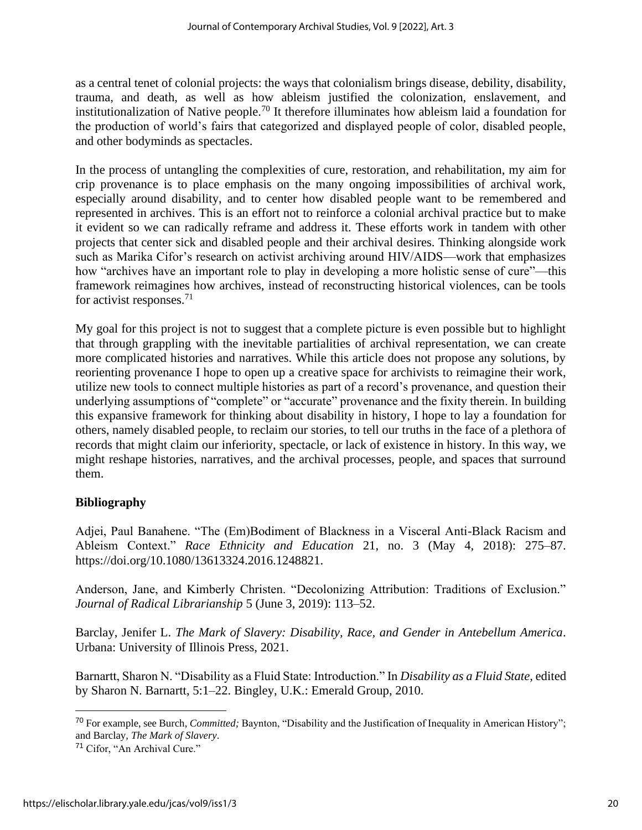as a central tenet of colonial projects: the ways that colonialism brings disease, debility, disability, trauma, and death, as well as how ableism justified the colonization, enslavement, and institutionalization of Native people.<sup>70</sup> It therefore illuminates how ableism laid a foundation for the production of world's fairs that categorized and displayed people of color, disabled people, and other bodyminds as spectacles.

In the process of untangling the complexities of cure, restoration, and rehabilitation, my aim for crip provenance is to place emphasis on the many ongoing impossibilities of archival work, especially around disability, and to center how disabled people want to be remembered and represented in archives. This is an effort not to reinforce a colonial archival practice but to make it evident so we can radically reframe and address it. These efforts work in tandem with other projects that center sick and disabled people and their archival desires. Thinking alongside work such as Marika Cifor's research on activist archiving around HIV/AIDS—work that emphasizes how "archives have an important role to play in developing a more holistic sense of cure"—this framework reimagines how archives, instead of reconstructing historical violences, can be tools for activist responses.<sup>71</sup>

My goal for this project is not to suggest that a complete picture is even possible but to highlight that through grappling with the inevitable partialities of archival representation, we can create more complicated histories and narratives. While this article does not propose any solutions, by reorienting provenance I hope to open up a creative space for archivists to reimagine their work, utilize new tools to connect multiple histories as part of a record's provenance, and question their underlying assumptions of "complete" or "accurate" provenance and the fixity therein. In building this expansive framework for thinking about disability in history, I hope to lay a foundation for others, namely disabled people, to reclaim our stories, to tell our truths in the face of a plethora of records that might claim our inferiority, spectacle, or lack of existence in history. In this way, we might reshape histories, narratives, and the archival processes, people, and spaces that surround them.

#### **Bibliography**

Adjei, Paul Banahene. "The (Em)Bodiment of Blackness in a Visceral Anti-Black Racism and Ableism Context." *Race Ethnicity and Education* 21, no. 3 (May 4, 2018): 275–87[.](https://doi.org/10.1080/13613324.2016.1248821) [https://doi.org/10.1080/13613324.2016.1248821.](https://doi.org/10.1080/13613324.2016.1248821)

Anderson, Jane, and Kimberly Christen. "Decolonizing Attribution: Traditions of Exclusion." *Journal of Radical Librarianship* 5 (June 3, 2019): 113–52.

Barclay, Jenifer L. *The Mark of Slavery: Disability, Race, and Gender in Antebellum America*. Urbana: University of Illinois Press, 2021.

Barnartt, Sharon N. "Disability as a Fluid State: Introduction." In *Disability as a Fluid State*, edited by Sharon N. Barnartt, 5:1–22. Bingley, U.K.: Emerald Group, 2010.

<sup>70</sup> For example, see Burch, *Committed;* Baynton, "Disability and the Justification of Inequality in American History"; and Barclay, *The Mark of Slavery*.

<sup>71</sup> Cifor, "An Archival Cure."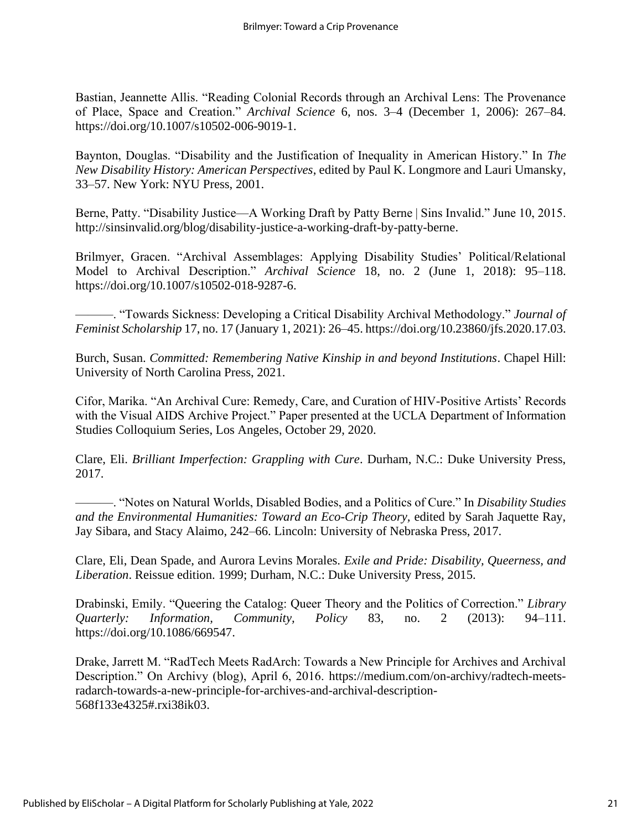Bastian, Jeannette Allis. "Reading Colonial Records through an Archival Lens: The Provenance of Place, Space and Creation." *Archival Science* 6, nos. 3–4 (December 1, 2006): 267–84[.](https://doi.org/10.1007/s10502-006-9019-1) [https://doi.org/10.1007/s10502-006-9019-1.](https://doi.org/10.1007/s10502-006-9019-1)

Baynton, Douglas. "Disability and the Justification of Inequality in American History." In *The New Disability History: American Perspectives*, edited by Paul K. Longmore and Lauri Umansky, 33–57. New York: NYU Press, 2001.

Berne, Patty. "Disability Justice—A Working Draft by Patty Berne | Sins Invalid." June 10, 2015[.](http://sinsinvalid.org/blog/disability-justice-a-working-draft-by-patty-berne,%20http:/sinsinvalid.org/blog/disability-justice-a-working-draft-by-patty-berne) http://sinsinvalid.org/blog/disability-justice-a-working-draft-by-patty-berne.

Brilmyer, Gracen. "Archival Assemblages: Applying Disability Studies' Political/Relational Model to Archival Description." *Archival Science* 18, no. 2 (June 1, 2018): 95–118[.](https://doi.org/10.1007/s10502-018-9287-6) [https://doi.org/10.1007/s10502-018-9287-6.](https://doi.org/10.1007/s10502-018-9287-6)

———. "Towards Sickness: Developing a Critical Disability Archival Methodology." *Journal of Feminist Scholarship* 17, no. 17 (January 1, 2021): 26–45. [https://doi.org/10.23860/jfs.2020.17.03.](https://doi.org/10.23860/jfs.2020.17.03)

Burch, Susan. *Committed: Remembering Native Kinship in and beyond Institutions*. Chapel Hill: University of North Carolina Press, 2021.

Cifor, Marika. "An Archival Cure: Remedy, Care, and Curation of HIV-Positive Artists' Records with the Visual AIDS Archive Project." Paper presented at the UCLA Department of Information Studies Colloquium Series, Los Angeles, October 29, 2020.

Clare, Eli. *Brilliant Imperfection: Grappling with Cure*. Durham, N.C.: Duke University Press, 2017.

———. "Notes on Natural Worlds, Disabled Bodies, and a Politics of Cure." In *Disability Studies and the Environmental Humanities: Toward an Eco-Crip Theory,* edited by Sarah Jaquette Ray, Jay Sibara, and Stacy Alaimo, 242–66. Lincoln: University of Nebraska Press, 2017.

Clare, Eli, Dean Spade, and Aurora Levins Morales. *Exile and Pride: Disability, Queerness, and Liberation*. Reissue edition. 1999; Durham, N.C.: Duke University Press, 2015.

Drabinski, Emily. "Queering the Catalog: Queer Theory and the Politics of Correction." *Library Quarterly: Information, Community, Policy* 83, no. 2 (2013): 94–111[.](https://doi.org/10.1086/669547) [https://doi.org/10.1086/669547.](https://doi.org/10.1086/669547)

Drake, Jarrett M. "RadTech Meets RadArch: Towards a New Principle for Archives and Archival Description." On Archivy (blog), April 6, 2016. [https://medium.com/on-archivy/radtech-meets](https://medium.com/on-archivy/radtech-meets-radarch-towards-a-new-principle-for-archives-and-archival-description-568f133e4325#.rxi38ik03)[radarch-towards-a-new-principle-for-archives-and-archival-description-](https://medium.com/on-archivy/radtech-meets-radarch-towards-a-new-principle-for-archives-and-archival-description-568f133e4325#.rxi38ik03)[568f133e4325#.rxi38ik03.](https://medium.com/on-archivy/radtech-meets-radarch-towards-a-new-principle-for-archives-and-archival-description-568f133e4325#.rxi38ik03)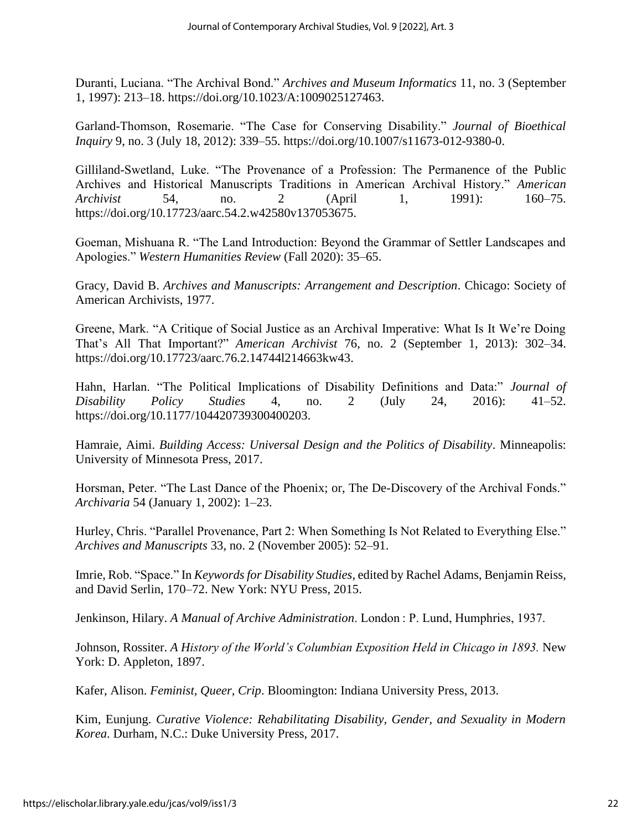Duranti, Luciana. "The Archival Bond." *Archives and Museum Informatics* 11, no. 3 (September 1, 1997): 213–18. [https://doi.org/10.1023/A:1009025127463.](https://doi.org/10.1023/A:1009025127463)

Garland-Thomson, Rosemarie. "The Case for Conserving Disability." *Journal of Bioethical Inquiry* 9, no. 3 (July 18, 2012): 339–55. [https://doi.org/10.1007/s11673-012-9380-0.](https://doi.org/10.1007/s11673-012-9380-0)

Gilliland-Swetland, Luke. "The Provenance of a Profession: The Permanence of the Public Archives and Historical Manuscripts Traditions in American Archival History." *American Archivist* 54, no. 2 (April 1, 1991): 160–75[.](https://doi.org/10.17723/aarc.54.2.w42580v137053675) [https://doi.org/10.17723/aarc.54.2.w42580v137053675.](https://doi.org/10.17723/aarc.54.2.w42580v137053675)

Goeman, Mishuana R. "The Land Introduction: Beyond the Grammar of Settler Landscapes and Apologies." *Western Humanities Review* (Fall 2020): 35–65.

Gracy, David B. *Archives and Manuscripts: Arrangement and Description*. Chicago: Society of American Archivists, 1977.

Greene, Mark. "A Critique of Social Justice as an Archival Imperative: What Is It We're Doing That's All That Important?" *American Archivist* 76, no. 2 (September 1, 2013): 302–34[.](https://doi.org/10.17723/aarc.76.2.14744l214663kw43) [https://doi.org/10.17723/aarc.76.2.14744l214663kw43.](https://doi.org/10.17723/aarc.76.2.14744l214663kw43)

Hahn, Harlan. "The Political Implications of Disability Definitions and Data:" *Journal of Disability Policy Studies* 4, no. 2 (July 24, 2016): 41–52[.](https://doi.org/10.1177/104420739300400203) [https://doi.org/10.1177/104420739300400203.](https://doi.org/10.1177/104420739300400203)

Hamraie, Aimi. *Building Access: Universal Design and the Politics of Disability*. Minneapolis: University of Minnesota Press, 2017.

Horsman, Peter. "The Last Dance of the Phoenix; or, The De-Discovery of the Archival Fonds." *Archivaria* 54 (January 1, 2002): 1–23.

Hurley, Chris. "Parallel Provenance, Part 2: When Something Is Not Related to Everything Else." *Archives and Manuscripts* 33, no. 2 (November 2005): 52–91.

Imrie, Rob. "Space." In *Keywords for Disability Studies*, edited by Rachel Adams, Benjamin Reiss, and David Serlin, 170–72. New York: NYU Press, 2015.

Jenkinson, Hilary. *A Manual of Archive Administration*. London : P. Lund, Humphries, 1937.

Johnson, Rossiter. *A History of the World's Columbian Exposition Held in Chicago in 1893.* New York: D. Appleton, 1897[.](http://hdl.handle.net/2027/mdp.39015009238216)

Kafer, Alison. *Feminist, Queer, Crip*. Bloomington: Indiana University Press, 2013.

Kim, Eunjung. *Curative Violence: Rehabilitating Disability, Gender, and Sexuality in Modern Korea*. Durham, N.C.: Duke University Press, 2017.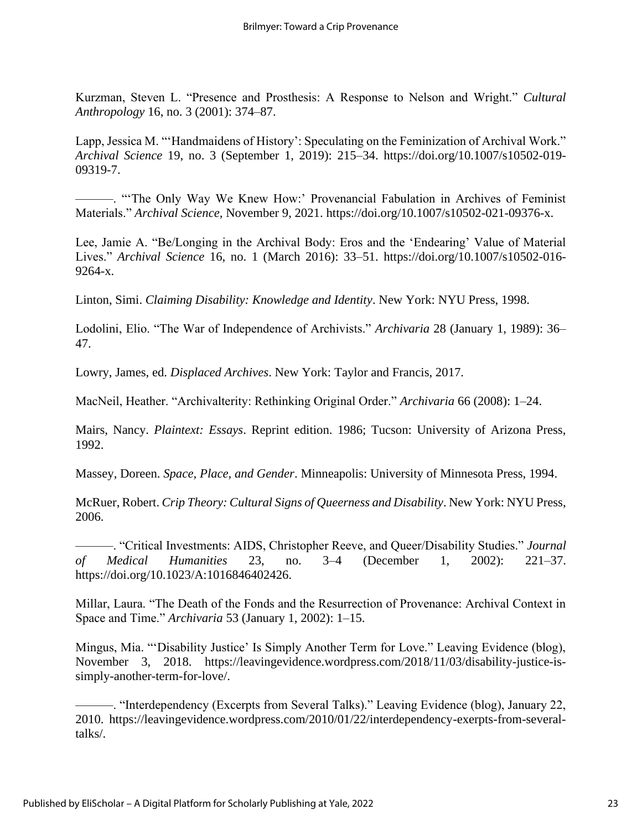Kurzman, Steven L. "Presence and Prosthesis: A Response to Nelson and Wright." *Cultural Anthropology* 16, no. 3 (2001): 374–87.

Lapp, Jessica M. "'Handmaidens of History': Speculating on the Feminization of Archival Work." *Archival Science* 19, no. 3 (September 1, 2019): 215–34. [https://doi.org/10.1007/s10502-019-](https://doi.org/10.1007/s10502-019-09319-7) [09319-7.](https://doi.org/10.1007/s10502-019-09319-7)

———. "'The Only Way We Knew How:' Provenancial Fabulation in Archives of Feminist Materials." *Archival Science,* November 9, 2021. https://doi.org/10.1007/s10502-021-09376-x.

Lee, Jamie A. "Be/Longing in the Archival Body: Eros and the 'Endearing' Value of Material Lives." *Archival Science* 16, no. 1 (March 2016): 33–51. [https://doi.org/10.1007/s10502-016-](https://doi.org/10.1007/s10502-016-9264-x) [9264-x.](https://doi.org/10.1007/s10502-016-9264-x)

Linton, Simi. *Claiming Disability: Knowledge and Identity*. New York: NYU Press, 1998.

Lodolini, Elio. "The War of Independence of Archivists." *Archivaria* 28 (January 1, 1989): 36– 47.

Lowry, James, ed. *Displaced Archives*. New York: Taylor and Francis, 2017.

MacNeil, Heather. "Archivalterity: Rethinking Original Order." *Archivaria* 66 (2008): 1–24.

Mairs, Nancy. *Plaintext: Essays*. Reprint edition. 1986; Tucson: University of Arizona Press, 1992.

Massey, Doreen. *Space, Place, and Gender*. Minneapolis: University of Minnesota Press, 1994.

McRuer, Robert. *Crip Theory: Cultural Signs of Queerness and Disability*. New York: NYU Press, 2006.

———. "Critical Investments: AIDS, Christopher Reeve, and Queer/Disability Studies." *Journal of Medical Humanities* 23, no. 3–4 (December 1, 2002): 221–37[.](https://doi.org/10.1023/A:1016846402426) [https://doi.org/10.1023/A:1016846402426.](https://doi.org/10.1023/A:1016846402426)

Millar, Laura. "The Death of the Fonds and the Resurrection of Provenance: Archival Context in Space and Time." *Archivaria* 53 (January 1, 2002): 1–15.

Mingus, Mia. "'Disability Justice' Is Simply Another Term for Love." Leaving Evidence (blog), November 3, 2018. [https://leavingevidence.wordpress.com/2018/11/03/disability-justice-is](https://leavingevidence.wordpress.com/2018/11/03/disability-justice-is-simply-another-term-for-love/)[simply-another-term-for-love/.](https://leavingevidence.wordpress.com/2018/11/03/disability-justice-is-simply-another-term-for-love/)

———. "Interdependency (Excerpts from Several Talks)." Leaving Evidence (blog), January 22, 2010. [https://leavingevidence.wordpress.com/2010/01/22/interdependency-exerpts-from-several](https://leavingevidence.wordpress.com/2010/01/22/interdependency-exerpts-from-several-talks/)[talks/.](https://leavingevidence.wordpress.com/2010/01/22/interdependency-exerpts-from-several-talks/)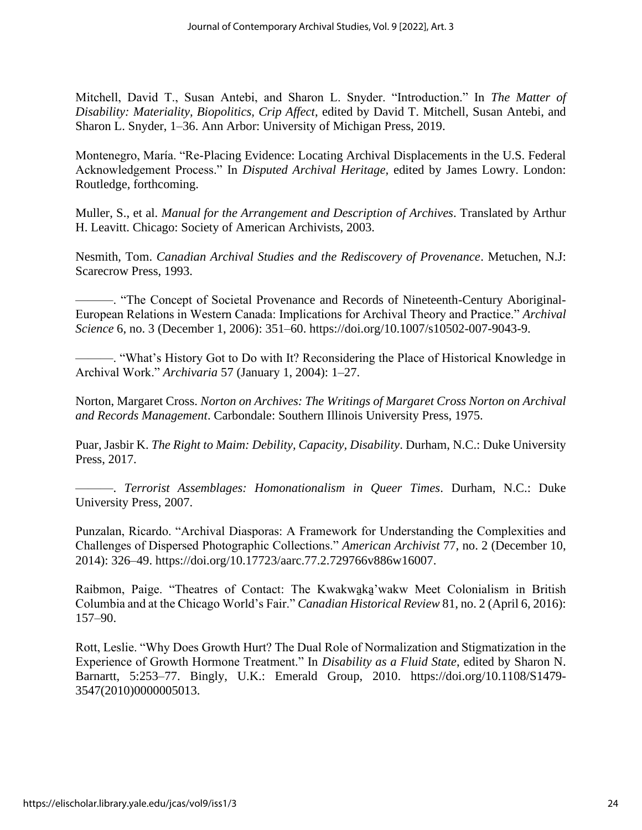Mitchell, David T., Susan Antebi, and Sharon L. Snyder. "Introduction." In *The Matter of Disability: Materiality, Biopolitics, Crip Affect*, edited by David T. Mitchell, Susan Antebi, and Sharon L. Snyder, 1–36. Ann Arbor: University of Michigan Press, 2019.

Montenegro, María. "Re-Placing Evidence: Locating Archival Displacements in the U.S. Federal Acknowledgement Process." In *Disputed Archival Heritage,* edited by James Lowry. London: Routledge, forthcoming.

Muller, S., et al. *Manual for the Arrangement and Description of Archives*. Translated by Arthur H. Leavitt. Chicago: Society of American Archivists, 2003.

Nesmith, Tom. *Canadian Archival Studies and the Rediscovery of Provenance*. Metuchen, N.J: Scarecrow Press, 1993.

———. "The Concept of Societal Provenance and Records of Nineteenth-Century Aboriginal-European Relations in Western Canada: Implications for Archival Theory and Practice." *Archival Science* 6, no. 3 (December 1, 2006): 351–60. [https://doi.org/10.1007/s10502-007-9043-9.](https://doi.org/10.1007/s10502-007-9043-9)

———. "What's History Got to Do with It? Reconsidering the Place of Historical Knowledge in Archival Work." *Archivaria* 57 (January 1, 2004): 1–27.

Norton, Margaret Cross. *Norton on Archives: The Writings of Margaret Cross Norton on Archival and Records Management*. Carbondale: Southern Illinois University Press, 1975.

Puar, Jasbir K. *The Right to Maim: Debility, Capacity, Disability*. Durham, N.C.: Duke University Press, 2017.

———. *Terrorist Assemblages: Homonationalism in Queer Times*. Durham, N.C.: Duke University Press, 2007.

Punzalan, Ricardo. "Archival Diasporas: A Framework for Understanding the Complexities and Challenges of Dispersed Photographic Collections." *American Archivist* 77, no. 2 (December 10, 2014): 326–49. [https://doi.org/10.17723/aarc.77.2.729766v886w16007.](https://doi.org/10.17723/aarc.77.2.729766v886w16007)

Raibmon, Paige. "Theatres of Contact: The Kwakwaka'wakw Meet Colonialism in British Columbia and at the Chicago World's Fair." *Canadian Historical Review* 81, no. 2 (April 6, 2016): 157–90.

Rott, Leslie. "Why Does Growth Hurt? The Dual Role of Normalization and Stigmatization in the Experience of Growth Hormone Treatment." In *Disability as a Fluid State*, edited by Sharon N. Barnartt, 5:253–77. Bingly, U.K.: Emerald Group, 2010. [https://doi.org/10.1108/S1479-](https://doi.org/10.1108/S1479-3547(2010)0000005013) [3547\(2010\)0000005013.](https://doi.org/10.1108/S1479-3547(2010)0000005013)